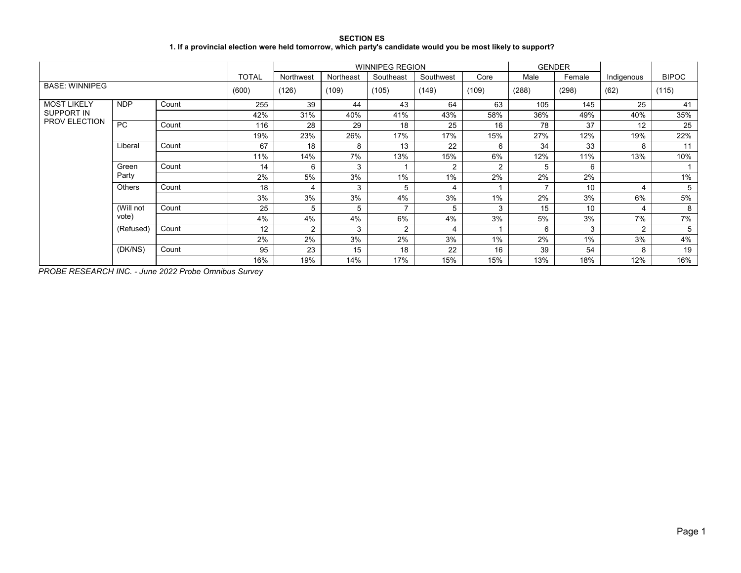**SECTION ES 1. If a provincial election were held tomorrow, which party's candidate would you be most likely to support?**

|                                    |            |       |              |               |           | <b>WINNIPEG REGION</b> |           |       |       | <b>GENDER</b> |               |              |
|------------------------------------|------------|-------|--------------|---------------|-----------|------------------------|-----------|-------|-------|---------------|---------------|--------------|
|                                    |            |       | <b>TOTAL</b> | Northwest     | Northeast | Southeast              | Southwest | Core  | Male  | Female        | Indigenous    | <b>BIPOC</b> |
| <b>BASE: WINNIPEG</b>              |            |       | (600)        | (126)         | (109)     | (105)                  | (149)     | (109) | (288) | (298)         | (62)          | (115)        |
| <b>MOST LIKELY</b>                 | <b>NDP</b> | Count | 255          | 39            | 44        | 43                     | 64        | 63    | 105   | 145           | 25            | 41           |
| SUPPORT IN<br><b>PROV ELECTION</b> |            |       | 42%          | 31%           | 40%       | 41%                    | 43%       | 58%   | 36%   | 49%           | 40%           | 35%          |
|                                    | <b>PC</b>  | Count | 116          | 28            | 29        | 18                     | 25        | 16    | 78    | 37            | 12            | 25           |
|                                    |            |       | 19%          | 23%           | 26%       | 17%                    | 17%       | 15%   | 27%   | 12%           | 19%           | 22%          |
|                                    | Liberal    | Count | 67           | 18            | 8         | 13                     | 22        | 6     | 34    | 33            | 8             | 11           |
|                                    |            |       | 11%          | 14%           | 7%        | 13%                    | 15%       | 6%    | 12%   | 11%           | 13%           | 10%          |
|                                    | Green      | Count | 14           | 6             | 3         |                        | 2         | 2     | 5     | 6             |               |              |
|                                    | Party      |       | 2%           | 5%            | 3%        | $1\%$                  | 1%        | 2%    | 2%    | 2%            |               | 1%           |
|                                    | Others     | Count | 18           | 4             | 3         | 5                      | 4         |       |       | 10            | 4             | 5            |
|                                    |            |       | 3%           | 3%            | 3%        | 4%                     | 3%        | 1%    | 2%    | 3%            | 6%            | 5%           |
|                                    | (Will not  | Count | 25           | 5             | 5         |                        | 5         | 3     | 15    | 10            | 4             | 8            |
|                                    | vote)      |       | 4%           | 4%            | 4%        | 6%                     | 4%        | 3%    | 5%    | 3%            | 7%            | 7%           |
|                                    | (Refused)  | Count | 12           | $\mathcal{P}$ | 3         | $\overline{2}$         | 4         |       | 6     | 3             | $\mathcal{P}$ | 5            |
|                                    |            |       | 2%           | 2%            | 3%        | 2%                     | 3%        | 1%    | 2%    | $1\%$         | 3%            | 4%           |
|                                    | (DK/NS)    | Count | 95           | 23            | 15        | 18                     | 22        | 16    | 39    | 54            | 8             | 19           |
|                                    |            |       | 16%          | 19%           | 14%       | 17%                    | 15%       | 15%   | 13%   | 18%           | 12%           | 16%          |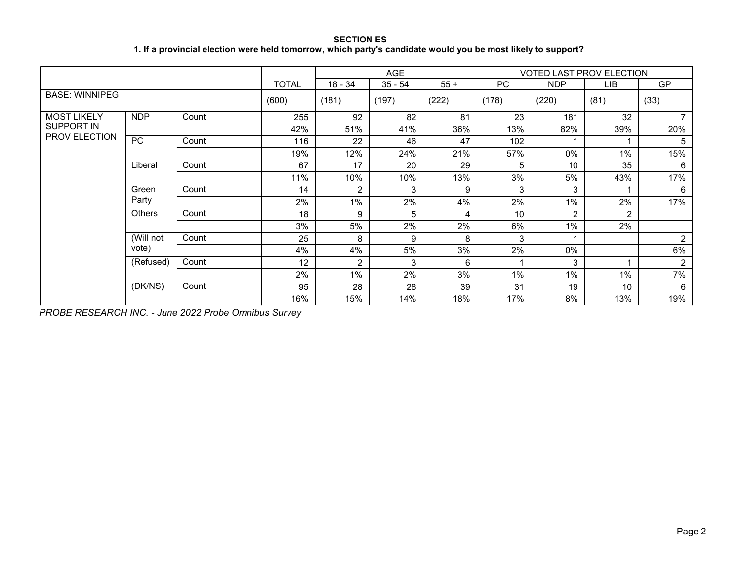**SECTION ES 1. If a provincial election were held tomorrow, which party's candidate would you be most likely to support?**

|                             |            |       |              |                | <b>AGE</b> |       |       |                | <b>VOTED LAST PROV ELECTION</b> |                |
|-----------------------------|------------|-------|--------------|----------------|------------|-------|-------|----------------|---------------------------------|----------------|
|                             |            |       | <b>TOTAL</b> | 18 - 34        | $35 - 54$  | $55+$ | PC    | <b>NDP</b>     | LІВ                             | <b>GP</b>      |
| <b>BASE: WINNIPEG</b>       |            |       | (600)        | (181)          | (197)      | (222) | (178) | (220)          | (81)                            | (33)           |
| <b>MOST LIKELY</b>          | <b>NDP</b> | Count | 255          | 92             | 82         | 81    | 23    | 181            | 32                              |                |
| SUPPORT IN<br>PROV ELECTION |            |       | 42%          | 51%            | 41%        | 36%   | 13%   | 82%            | 39%                             | 20%            |
|                             | <b>PC</b>  | Count | 116          | 22             | 46         | 47    | 102   |                |                                 | 5              |
|                             |            |       | 19%          | 12%            | 24%        | 21%   | 57%   | 0%             | $1\%$                           | 15%            |
|                             | Liberal    | Count | 67           | 17             | 20         | 29    | 5     | 10             | 35                              | 6              |
|                             |            |       | 11%          | 10%            | 10%        | 13%   | 3%    | 5%             | 43%                             | 17%            |
|                             | Green      | Count | 14           | 2              | 3          | 9     | 3     | 3              |                                 | 6              |
|                             | Party      |       | 2%           | 1%             | 2%         | 4%    | 2%    | $1\%$          | 2%                              | 17%            |
|                             | Others     | Count | 18           | 9              | 5          | 4     | 10    | $\overline{c}$ | $\overline{2}$                  |                |
|                             |            |       | 3%           | 5%             | 2%         | 2%    | 6%    | $1\%$          | 2%                              |                |
|                             | (Will not  | Count | 25           | 8              | 9          | 8     | 3     |                |                                 | $\overline{c}$ |
|                             | vote)      |       | 4%           | 4%             | 5%         | 3%    | 2%    | 0%             |                                 | 6%             |
|                             | (Refused)  | Count | 12           | $\overline{2}$ | 3          | 6     |       | 3              |                                 | $\overline{2}$ |
|                             |            |       | 2%           | 1%             | 2%         | 3%    | $1\%$ | $1\%$          | 1%                              | 7%             |
|                             | (DK/NS)    | Count | 95           | 28             | 28         | 39    | 31    | 19             | 10 <sup>1</sup>                 | 6              |
|                             |            |       | 16%          | 15%            | 14%        | 18%   | 17%   | 8%             | 13%                             | 19%            |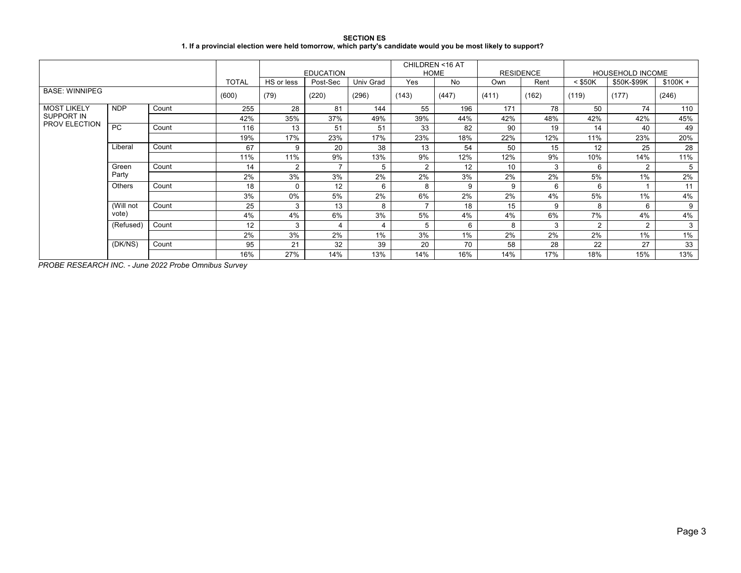| <b>SECTION ES</b>                                                                                            |  |
|--------------------------------------------------------------------------------------------------------------|--|
| 1. If a provincial election were held tomorrow, which party's candidate would you be most likely to support? |  |

|                                    |               |       |              |            | <b>EDUCATION</b> |           |                | CHILDREN <16 AT<br><b>HOME</b> | <b>RESIDENCE</b> |       |                | <b>HOUSEHOLD INCOME</b> |           |
|------------------------------------|---------------|-------|--------------|------------|------------------|-----------|----------------|--------------------------------|------------------|-------|----------------|-------------------------|-----------|
|                                    |               |       | <b>TOTAL</b> | HS or less | Post-Sec         | Univ Grad | <b>Yes</b>     | No                             | Own              | Rent  | $<$ \$50K      | \$50K-\$99K             | $$100K +$ |
| <b>BASE: WINNIPEG</b>              |               |       | (600)        | (79)       | (220)            | (296)     | (143)          | (447)                          | (411)            | (162) | (119)          | (177)                   | (246)     |
| <b>MOST LIKELY</b>                 | <b>NDP</b>    | Count | 255          | 28         | 81               | 144       | 55             | 196                            | 171              | 78    | 50             | 74                      | 110       |
| SUPPORT IN<br><b>PROV ELECTION</b> |               |       | 42%          | 35%        | 37%              | 49%       | 39%            | 44%                            | 42%              | 48%   | 42%            | 42%                     | 45%       |
|                                    | PC            | Count | 116          | 13         | 51               | 51        | 33             | 82                             | 90               | 19    | 14             | 40                      | 49        |
|                                    |               |       | 19%          | 17%        | 23%              | 17%       | 23%            | 18%                            | 22%              | 12%   | 11%            | 23%                     | 20%       |
|                                    | Liberal       | Count | 67           | 9          | 20               | 38        | 13             | 54                             | 50               | 15    | 12             | 25                      | 28        |
|                                    |               |       | 11%          | 11%        | 9%               | 13%       | 9%             | 12%                            | 12%              | 9%    | 10%            | 14%                     | 11%       |
|                                    | Green         | Count | 14           | 2          | $\overline{7}$   | 5         | $\overline{2}$ | 12                             | 10               | 3     | 6              | $\overline{2}$          | 5         |
|                                    | Party         |       | 2%           | 3%         | 3%               | 2%        | 2%             | 3%                             | 2%               | 2%    | 5%             | 1%                      | 2%        |
|                                    | <b>Others</b> | Count | 18           | $\Omega$   | 12               | 6         | 8              | 9                              | 9                | 6     | 6              |                         | 11        |
|                                    |               |       | 3%           | $0\%$      | 5%               | 2%        | 6%             | 2%                             | 2%               | 4%    | 5%             | 1%                      | 4%        |
|                                    | (Will not     | Count | 25           | 3          | 13               | 8         | –              | 18                             | 15               | 9     | 8              | 6                       | 9         |
|                                    | vote)         |       | 4%           | 4%         | 6%               | 3%        | 5%             | 4%                             | 4%               | 6%    | 7%             | 4%                      | 4%        |
|                                    | (Refused)     | Count | 12           | 3          | 4                | 4         | 5              | 6                              | 8                | 3     | $\overline{2}$ | $\overline{2}$          | 3         |
|                                    |               |       | 2%           | 3%         | 2%               | 1%        | 3%             | 1%                             | 2%               | 2%    | 2%             | $1\%$                   | 1%        |
|                                    | (DK/NS)       | Count | 95           | 21         | 32               | 39        | 20             | 70                             | 58               | 28    | 22             | 27                      | 33        |
|                                    |               |       | 16%          | 27%        | 14%              | 13%       | 14%            | 16%                            | 14%              | 17%   | 18%            | 15%                     | 13%       |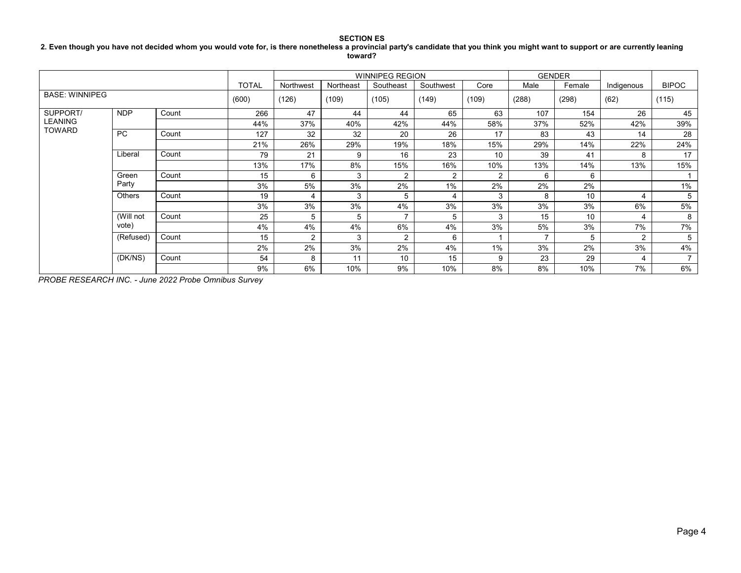## **2. Even though you have not decided whom you would vote for, is there nonetheless a provincial party's candidate that you think you might want to support or are currently leaning toward?**

|                                             |               |       | <b>WINNIPEG REGION</b> |           |           |                |                |                |       | <b>GENDER</b> |            |                          |
|---------------------------------------------|---------------|-------|------------------------|-----------|-----------|----------------|----------------|----------------|-------|---------------|------------|--------------------------|
|                                             |               |       | <b>TOTAL</b>           | Northwest | Northeast | Southeast      | Southwest      | Core           | Male  | Female        | Indigenous | <b>BIPOC</b>             |
| <b>BASE: WINNIPEG</b>                       |               |       | (600)                  | (126)     | (109)     | (105)          | (149)          | (109)          | (288) | (298)         | (62)       | (115)                    |
| SUPPORT/<br><b>LEANING</b><br><b>TOWARD</b> | <b>NDP</b>    | Count | 266                    | 47        | 44        | 44             | 65             | 63             | 107   | 154           | 26         | 45                       |
|                                             |               |       | 44%                    | 37%       | 40%       | 42%            | 44%            | 58%            | 37%   | 52%           | 42%        | 39%                      |
|                                             | <b>PC</b>     | Count | 127                    | 32        | 32        | 20             | 26             | 17             | 83    | 43            | 14         | 28                       |
|                                             |               |       | 21%                    | 26%       | 29%       | 19%            | 18%            | 15%            | 29%   | 14%           | 22%        | 24%                      |
|                                             | Liberal       | Count | 79                     | 21        | 9         | 16             | 23             | 10             | 39    | 41            | 8          | 17                       |
|                                             |               |       | 13%                    | 17%       | 8%        | 15%            | 16%            | 10%            | 13%   | 14%           | 13%        | 15%                      |
|                                             | Green         | Count | 15                     | 6         | 3         | 2              | $\overline{2}$ | $\overline{2}$ | 6     | 6             |            |                          |
|                                             | Party         |       | 3%                     | 5%        | 3%        | 2%             | 1%             | 2%             | 2%    | 2%            |            | 1%                       |
|                                             | <b>Others</b> | Count | 19                     | 4         | 3         | 5              | 4              | 3              | 8     | 10            | 4          | 5                        |
|                                             |               |       | 3%                     | 3%        | 3%        | 4%             | 3%             | 3%             | 3%    | 3%            | 6%         | 5%                       |
|                                             | (Will not     | Count | 25                     | 5         | 5         | $\overline{ }$ | 5              | 3              | 15    | 10            | 4          | 8                        |
|                                             | vote)         |       | 4%                     | 4%        | 4%        | 6%             | 4%             | 3%             | 5%    | 3%            | 7%         | 7%                       |
|                                             | (Refused)     | Count | 15                     | 2         | 3         | 2              | 6              |                | ⇁     | 5             | 2          | 5                        |
|                                             |               |       | 2%                     | 2%        | 3%        | 2%             | 4%             | 1%             | 3%    | 2%            | 3%         | 4%                       |
|                                             | (DK/NS)       | Count | 54                     | 8         | 11        | 10             | 15             | 9              | 23    | 29            | 4          | $\overline{\phantom{a}}$ |
|                                             |               |       | 9%                     | 6%        | 10%       | 9%             | 10%            | 8%             | 8%    | 10%           | 7%         | 6%                       |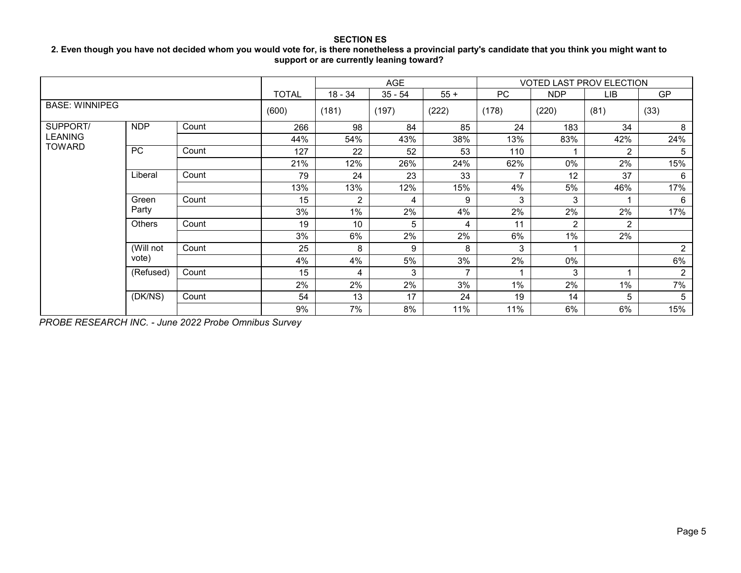## **2. Even though you have not decided whom you would vote for, is there nonetheless a provincial party's candidate that you think you might want to support or are currently leaning toward?**

|                                 |            |       |              |                | AGE       |       |           | <b>VOTED LAST PROV ELECTION</b> |      |                |
|---------------------------------|------------|-------|--------------|----------------|-----------|-------|-----------|---------------------------------|------|----------------|
|                                 |            |       | <b>TOTAL</b> | $18 - 34$      | $35 - 54$ | $55+$ | <b>PC</b> | <b>NDP</b>                      | LIB  | <b>GP</b>      |
| <b>BASE: WINNIPEG</b>           |            |       | (600)        | (181)          | (197)     | (222) | (178)     | (220)                           | (81) | (33)           |
| SUPPORT/                        | <b>NDP</b> | Count | 266          | 98             | 84        | 85    | 24        | 183                             | 34   | 8              |
| <b>LEANING</b><br><b>TOWARD</b> |            |       | 44%          | 54%            | 43%       | 38%   | 13%       | 83%                             | 42%  | 24%            |
|                                 | <b>PC</b>  | Count | 127          | 22             | 52        | 53    | 110       |                                 | 2    | 5              |
|                                 |            |       | 21%          | 12%            | 26%       | 24%   | 62%       | 0%                              | 2%   | 15%            |
|                                 | Liberal    | Count | 79           | 24             | 23        | 33    |           | 12                              | 37   | 6              |
|                                 |            |       | 13%          | 13%            | 12%       | 15%   | 4%        | 5%                              | 46%  | 17%            |
|                                 | Green      | Count | 15           | $\overline{2}$ | 4         | 9     | 3         | 3                               |      | 6              |
|                                 | Party      |       | 3%           | $1\%$          | 2%        | 4%    | 2%        | 2%                              | 2%   | 17%            |
|                                 | Others     | Count | 19           | 10             | 5         | 4     | 11        | 2                               | 2    |                |
|                                 |            |       | 3%           | 6%             | 2%        | 2%    | 6%        | $1\%$                           | 2%   |                |
|                                 | (Will not  | Count | 25           | 8              | 9         | 8     | 3         |                                 |      | $\overline{2}$ |
|                                 | vote)      |       | 4%           | 4%             | 5%        | 3%    | 2%        | 0%                              |      | 6%             |
|                                 | (Refused)  | Count | 15           | 4              | 3         | 7     |           | 3                               | и    | $\overline{2}$ |
|                                 |            |       | 2%           | 2%             | 2%        | 3%    | 1%        | 2%                              | 1%   | 7%             |
|                                 | (DK/NS)    | Count | 54           | 13             | 17        | 24    | 19        | 14                              | 5    | 5              |
|                                 |            |       | 9%           | 7%             | 8%        | 11%   | 11%       | 6%                              | 6%   | 15%            |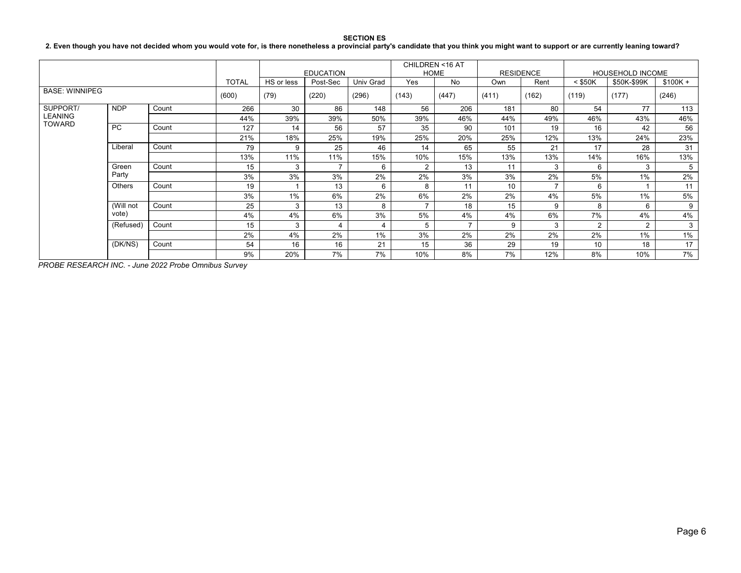**2. Even though you have not decided whom you would vote for, is there nonetheless a provincial party's candidate that you think you might want to support or are currently leaning toward?**

|                                 |            |       |              |            | <b>EDUCATION</b> |           |                | CHILDREN <16 AT<br><b>HOME</b> |       | <b>RESIDENCE</b> |                | <b>HOUSEHOLD INCOME</b> |           |
|---------------------------------|------------|-------|--------------|------------|------------------|-----------|----------------|--------------------------------|-------|------------------|----------------|-------------------------|-----------|
|                                 |            |       | <b>TOTAL</b> | HS or less | Post-Sec         | Univ Grad | Yes            | <b>No</b>                      | Own   | Rent             | $<$ \$50K      | \$50K-\$99K             | $$100K +$ |
| <b>BASE: WINNIPEG</b>           |            |       | (600)        | (79)       | (220)            | (296)     | (143)          | (447)                          | (411) | (162)            | (119)          | (177)                   | (246)     |
| SUPPORT/                        | <b>NDP</b> | Count | 266          | 30         | 86               | 148       | 56             | 206                            | 181   | 80               | 54             | 77                      | 113       |
| <b>LEANING</b><br><b>TOWARD</b> |            |       | 44%          | 39%        | 39%              | 50%       | 39%            | 46%                            | 44%   | 49%              | 46%            | 43%                     | 46%       |
|                                 | <b>PC</b>  | Count | 127          | 14         | 56               | 57        | 35             | 90                             | 101   | 19               | 16             | 42                      | 56        |
|                                 |            |       | 21%          | 18%        | 25%              | 19%       | 25%            | 20%                            | 25%   | 12%              | 13%            | 24%                     | 23%       |
|                                 | Liberal    | Count | 79           | 9          | 25               | 46        | 14             | 65                             | 55    | 21               | 17             | 28                      | 31        |
|                                 |            |       | 13%          | 11%        | 11%              | 15%       | 10%            | 15%                            | 13%   | 13%              | 14%            | 16%                     | 13%       |
|                                 | Green      | Count | 15           | 3          |                  | 6         | $\overline{2}$ | 13                             | 11    | 3                | 6              | 3                       | 5         |
|                                 | Party      |       | 3%           | 3%         | 3%               | 2%        | 2%             | 3%                             | 3%    | 2%               | 5%             | 1%                      | 2%        |
|                                 | Others     | Count | 19           |            | 13               | 6         | 8              | 11                             | 10    | $\overline{ }$   | 6              |                         | 11        |
|                                 |            |       | 3%           | 1%         | 6%               | 2%        | 6%             | 2%                             | 2%    | 4%               | 5%             | 1%                      | 5%        |
|                                 | (Will not  | Count | 25           | 3          | 13               | 8         |                | 18                             | 15    | 9                | 8              | 6                       | 9         |
|                                 | vote)      |       | 4%           | 4%         | 6%               | 3%        | 5%             | 4%                             | 4%    | 6%               | 7%             | 4%                      | 4%        |
|                                 | (Refused)  | Count | 15           | 3          | 4                | 4         | 5              | $\overline{\phantom{a}}$       | 9     | 3                | $\overline{2}$ | $\overline{2}$          | 3         |
|                                 |            |       | 2%           | 4%         | 2%               | 1%        | 3%             | 2%                             | 2%    | 2%               | 2%             | 1%                      | 1%        |
|                                 | (DK/NS)    | Count | 54           | 16         | 16               | 21        | 15             | 36                             | 29    | 19               | 10             | 18                      | 17        |
|                                 |            | 9%    | 20%          | 7%         | 7%               | 10%       | 8%             | 7%                             | 12%   | 8%               | 10%            | 7%                      |           |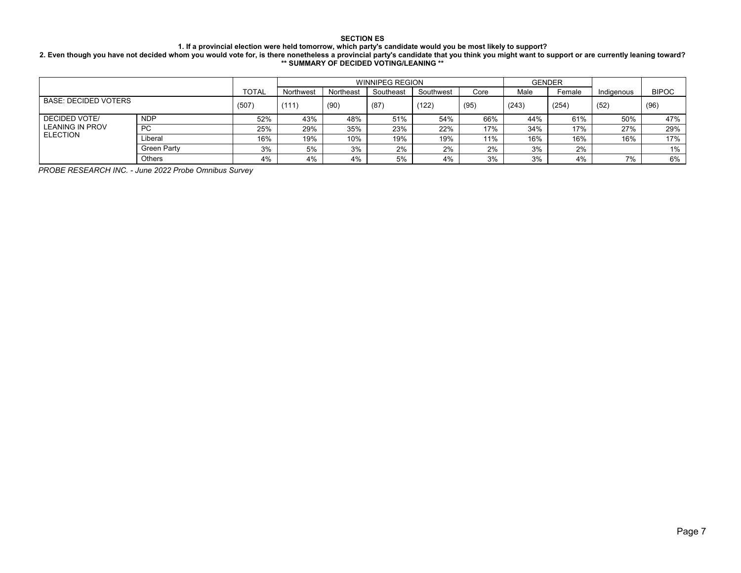#### **1. If a provincial election were held tomorrow, which party's candidate would you be most likely to support?**

#### **2. Even though you have not decided whom you would vote for, is there nonetheless a provincial party's candidate that you think you might want to support or are currently leaning toward? \*\* SUMMARY OF DECIDED VOTING/LEANING \*\***

|                             |               |              |           | <b>WINNIPEG REGION</b> |           |           | <b>GENDER</b> |       |        |            |              |
|-----------------------------|---------------|--------------|-----------|------------------------|-----------|-----------|---------------|-------|--------|------------|--------------|
|                             |               | <b>TOTAL</b> | Northwest | Northeast              | Southeast | Southwest | Core          | Male  | Female | Indigenous | <b>BIPOC</b> |
| <b>BASE: DECIDED VOTERS</b> | (507)         | (111)        | (90)      | (87)                   | (122)     | (95)      | (243)         | (254) | (52)   | (96)       |              |
| DECIDED VOTE/               | <b>NDP</b>    | 52%          | 43%       | 48%                    | 51%       | 54%       | 66%           | 44%   | 61%    | 50%        | 47%          |
| <b>LEANING IN PROV</b>      | PC            | 25%          | 29%       | 35%                    | 23%       | 22%       | 17%           | 34%   | 17%    | 27%        | 29%          |
| <b>ELECTION</b>             | Liberal       | 16%          | 19%       | 10%                    | 19%       | 19%       | 11%           | 16%   | 16%    | 16%        | 17%          |
|                             | Green Party   | 3%           | 5%        | 3%                     | 2%        | 2%        | 2%            | 3%    | 2%     |            | 1%           |
|                             | <b>Others</b> | 4%           | 4%        | 4%                     | 5%        | 4%        | 3%            | 3%    | 4%     | 7%         | 6%           |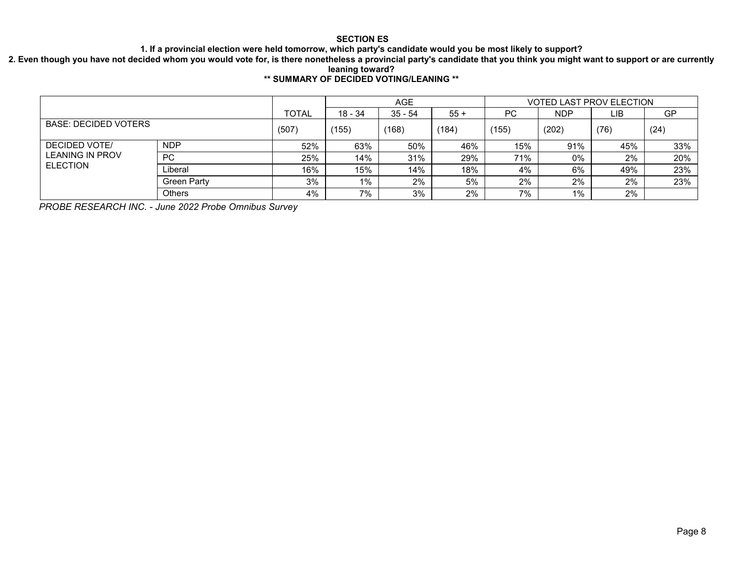**1. If a provincial election were held tomorrow, which party's candidate would you be most likely to support?**

**2. Even though you have not decided whom you would vote for, is there nonetheless a provincial party's candidate that you think you might want to support or are currently leaning toward?**

# **\*\* SUMMARY OF DECIDED VOTING/LEANING \*\***

|                                                |                    |       |         | <b>AGE</b> |       |       | <b>VOTED LAST PROV ELECTION</b> |      |     |
|------------------------------------------------|--------------------|-------|---------|------------|-------|-------|---------------------------------|------|-----|
|                                                |                    | TOTAL | 18 - 34 | $35 - 54$  | $55+$ | РC    | <b>NDP</b>                      | LIB  | GP  |
| <b>BASE: DECIDED VOTERS</b>                    | (507)              | (155) | (168)   | (184)      | (155) | (202) | (76)                            | (24) |     |
| <b>DECIDED VOTE/</b><br><b>LEANING IN PROV</b> | <b>NDP</b>         | 52%   | 63%     | 50%        | 46%   | 15%   | 91%                             | 45%  | 33% |
|                                                | <b>PC</b>          | 25%   | 14%     | 31%        | 29%   | 71%   | 0%                              | 2%   | 20% |
| <b>ELECTION</b>                                | Liberal            | 16%   | 15%     | 14%        | 18%   | 4%    | 6%                              | 49%  | 23% |
|                                                | <b>Green Party</b> | 3%    | 1%      | 2%         | 5%    | 2%    | 2%                              | 2%   | 23% |
|                                                | <b>Others</b>      | 4%    | 7%      | 3%         | 2%    | 7%    | 1%                              | 2%   |     |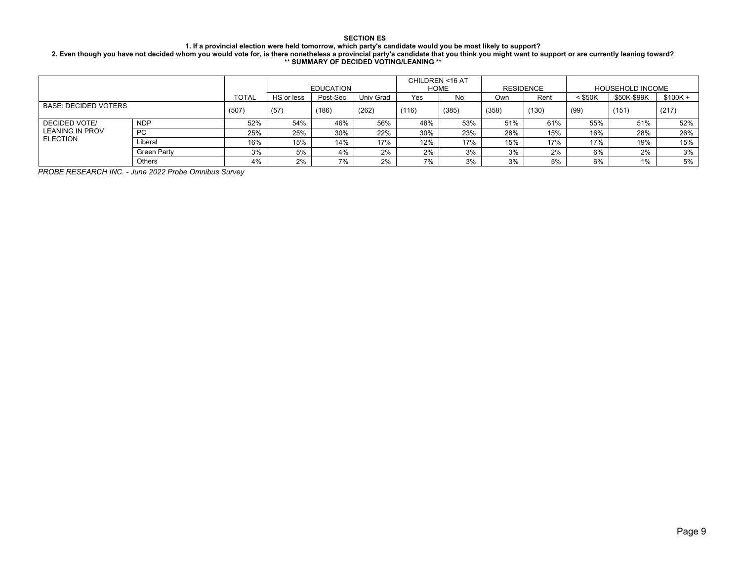### **1. If a provincial election were held tomorrow, which party's candidate would you be most likely to support?**

**2. Even though you have not decided whom you would vote for, is there nonetheless a provincial party's candidate that you think you might want to support or are currently leaning toward? \*\* SUMMARY OF DECIDED VOTING/LEANING \*\***

|                                  |               |              |            |                  |           |       | CHILDREN <16 AT |       |           |           |                         |           |
|----------------------------------|---------------|--------------|------------|------------------|-----------|-------|-----------------|-------|-----------|-----------|-------------------------|-----------|
|                                  |               |              |            | <b>EDUCATION</b> |           |       | <b>HOME</b>     |       | RESIDENCE |           | <b>HOUSEHOLD INCOME</b> |           |
|                                  |               | <b>TOTAL</b> | HS or less | Post-Sec         | Univ Grad | Yes   | No              | Own   | Rent      | $<$ \$50K | \$50K-\$99K             | $$100K +$ |
| <b>BASE: DECIDED VOTERS</b>      |               | (507)        | (57)       | (186)            | (262)     | (116) | (385)           | (358) | (130)     | (99)      | (151)                   | (217)     |
| DECIDED VOTE/<br>LEANING IN PROV | <b>NDP</b>    | 52%          | 54%        | 46%              | 56%       | 48%   | 53%             | 51%   | 61%       | 55%       | 51%                     | 52%       |
|                                  | <b>PC</b>     | 25%          | 25%        | 30%              | 22%       | 30%   | 23%             | 28%   | 15%       | 16%       | 28%                     | 26%       |
| <b>ELECTION</b>                  | Liberal       | 16%          | 15%        | 14%              | 17%       | 12%   | 17%             | 15%   | 17%       | 17%       | 19%                     | 15%       |
|                                  | Green Party   | 3%           | 5%         | 4%               | 2%        | 2%    | 3%              | 3%    | 2%        | 6%        | 2%                      | 3%        |
|                                  | <b>Others</b> | 4%           | 2%         | 7%               | 2%        | 7%    | 3%              | 3%    | 5%        | 6%        | $1\%$                   | 5%        |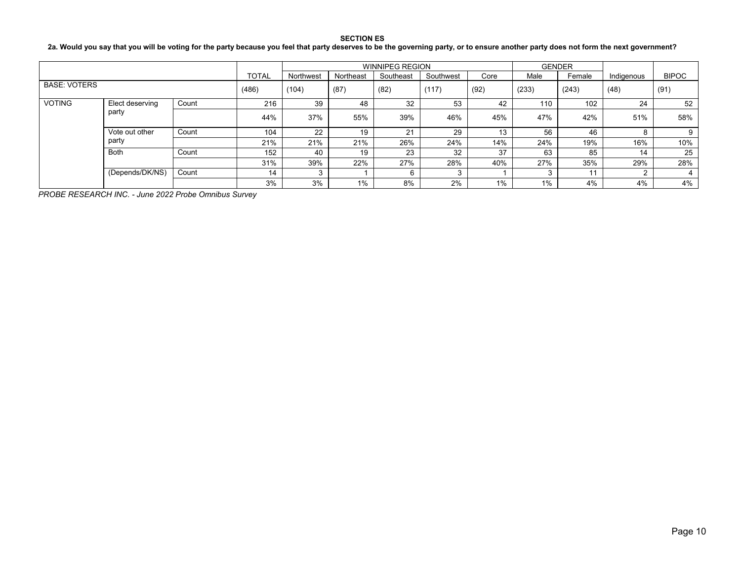## **2a. Would you say that you will be voting for the party because you feel that party deserves to be the governing party, or to ensure another party does not form the next government?**

|                     |                 |       |              |           |           | <b>WINNIPEG REGION</b> |           |      | <b>GENDER</b> |        |            |              |
|---------------------|-----------------|-------|--------------|-----------|-----------|------------------------|-----------|------|---------------|--------|------------|--------------|
|                     |                 |       | <b>TOTAL</b> | Northwest | Northeast | Southeast              | Southwest | Core | Male          | Female | Indigenous | <b>BIPOC</b> |
| <b>BASE: VOTERS</b> |                 |       | (486)        | (104)     | (87)      | (82)                   | (117)     | (92) | (233)         | (243)  | (48)       | (91)         |
| <b>VOTING</b>       | Elect deserving |       | 216          | 39        | 48        | 32                     | 53        | 42   | 110           | 102    | 24         | 52           |
|                     | party           |       | 44%          | 37%       | 55%       | 39%                    | 46%       | 45%  | 47%           | 42%    | 51%        | 58%          |
| Vote out other      |                 | Count | 104          | 22        | 19        | 21                     | 29        | 13   | 56            | 46     |            | 9            |
|                     | party           |       | 21%          | 21%       | 21%       | 26%                    | 24%       | 14%  | 24%           | 19%    | 16%        | 10%          |
|                     | <b>Both</b>     | Count | 152          | 40        | 19        | 23                     | 32        | 37   | 63            | 85     | 14         | 25           |
|                     |                 |       | 31%          | 39%       | 22%       | 27%                    | 28%       | 40%  | 27%           | 35%    | 29%        | 28%          |
|                     | (Depends/DK/NS) | Count | 14           | ົ         |           | 6                      | $\sim$    |      |               | 11     |            | 4            |
|                     |                 |       | 3%           | 3%        | 1%        | 8%                     | 2%        | 1%   | 1%            | 4%     | 4%         | 4%           |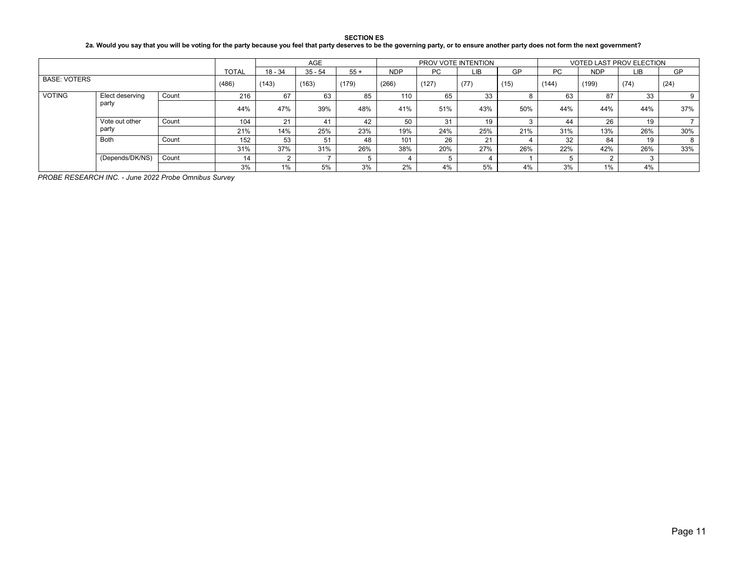## **2a. Would you say that you will be voting for the party because you feel that party deserves to be the governing party, or to ensure another party does not form the next government?**

|                     |                 |       |              |         | AGE       |       |            | PROV VOTE INTENTION |      |      |       | <b>VOTED LAST PROV ELECTION</b> |      |           |
|---------------------|-----------------|-------|--------------|---------|-----------|-------|------------|---------------------|------|------|-------|---------------------------------|------|-----------|
|                     |                 |       | <b>TOTAL</b> | 18 - 34 | $35 - 54$ | $55+$ | <b>NDP</b> | <b>PC</b>           | LIB  | GP   | PC.   | <b>NDP</b>                      | LIB. | <b>GP</b> |
| <b>BASE: VOTERS</b> |                 |       | (486)        | (143)   | (163)     | (179) | (266)      | (127)               | (77) | (15) | (144) | (199)                           | (74) | (24)      |
| <b>VOTING</b>       | Elect deserving | Count | 216          | 67      | 63        | 85    | 110        | 65                  | 33   |      | 63    | 87                              | 33   |           |
|                     | party           |       | 44%          | 47%     | 39%       | 48%   | 41%        | 51%                 | 43%  | 50%  | 44%   | 44%                             | 44%  | 37%       |
| Vote out other      |                 | Count | 104          | 21      | 41        | 42    | 50         | 31                  |      |      | 44    | 26                              | 19   |           |
|                     | party           |       | 21%          | 14%     | 25%       | 23%   | 19%        | 24%                 | 25%  | 21%  | 31%   | 13%                             | 26%  | 30%       |
|                     | Both            | Count | 152          | 53      | 51        | 48    | 101        | 26                  | 21   |      | 32    | 84                              | 19   | 8         |
|                     |                 |       | 31%          | 37%     | 31%       | 26%   | 38%        | 20%                 | 27%  | 26%  | 22%   | 42%                             | 26%  | 33%       |
|                     | (Depends/DK/NS) | Count | 14           | ົ       |           |       |            |                     |      |      |       |                                 |      |           |
|                     |                 |       | 3%           | 1%      | 5%        | 3%    | 2%         | 4%                  | 5%   | 4%   | 3%    | 1%                              | 4%   |           |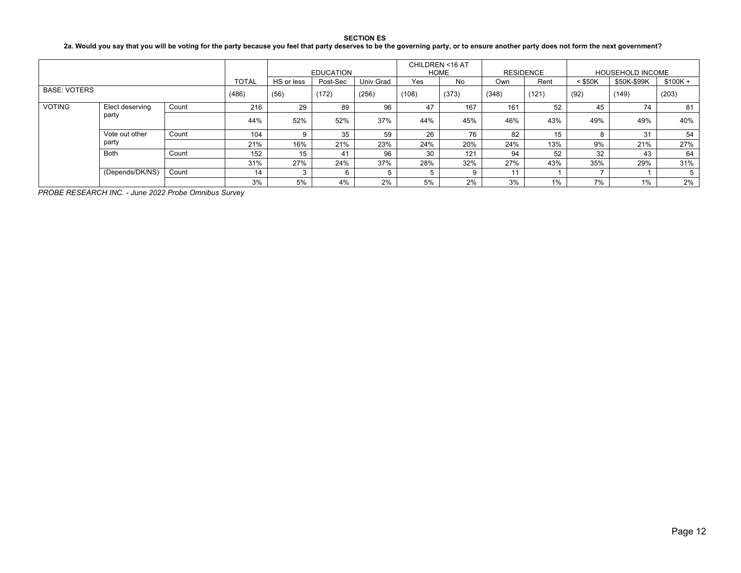## **2a. Would you say that you will be voting for the party because you feel that party deserves to be the governing party, or to ensure another party does not form the next government?**

|                     |                         |       |      | <b>EDUCATION</b> |          |           | CHILDREN <16 AT<br>HOME |       | <b>RESIDENCE</b> |      | <b>HOUSEHOLD INCOME</b> |             |           |
|---------------------|-------------------------|-------|------|------------------|----------|-----------|-------------------------|-------|------------------|------|-------------------------|-------------|-----------|
|                     |                         |       |      | HS or less       | Post-Sec | Univ Grad | Yes                     | No    | Own              | Rent | $<$ \$50K               | \$50K-\$99K | $$100K +$ |
| <b>BASE: VOTERS</b> |                         | (486) | (56) | (172)            | (256)    | (108)     | (373)                   | (348) | (121)            | (92) | (149)                   | (203)       |           |
| <b>VOTING</b>       | Elect deserving         | Count | 216  | 29               | 89       | 96        | 47                      | 167   | 161              | 52   | 45                      | 74          | 81        |
|                     | party                   |       | 44%  | 52%              | 52%      | 37%       | 44%                     | 45%   | 46%              | 43%  | 49%                     | 49%         | 40%       |
|                     | Vote out other<br>party | Count | 104  |                  | 35       | 59        | 26                      | 76    | 82               | 15   |                         | 31          | 54        |
|                     |                         |       | 21%  | 16%              | 21%      | 23%       | 24%                     | 20%   | 24%              | 13%  | 9%                      | 21%         | 27%       |
|                     | Both                    | Count | 152  | 15               | 41       | 96        | 30                      | 121   | 94               | 52   | 32                      | 43          | 64        |
|                     |                         |       | 31%  | 27%              | 24%      | 37%       | 28%                     | 32%   | 27%              | 43%  | 35%                     | 29%         | 31%       |
|                     | (Depends/DK/NS)         | Count | 14   |                  |          |           |                         | 9     | 11               |      |                         |             |           |
|                     |                         |       | 3%   | 5%               | 4%       | 2%        | 5%                      | 2%    | 3%               | 1%   | 7%                      | 1%          | 2%        |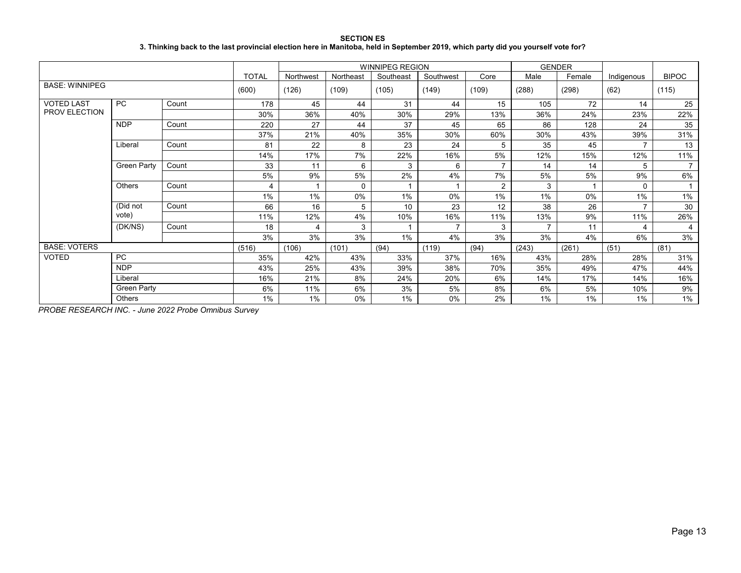| <b>SECTION ES</b>                                                                                                                 |  |  |  |  |  |  |  |  |  |  |  |
|-----------------------------------------------------------------------------------------------------------------------------------|--|--|--|--|--|--|--|--|--|--|--|
| 3. Thinking back to the last provincial election here in Manitoba, held in September 2019, which party did you yourself vote for? |  |  |  |  |  |  |  |  |  |  |  |

|                       |                      |       |              |           |           | <b>WINNIPEG REGION</b> |                |                |                          | <b>GENDER</b> |                |                |
|-----------------------|----------------------|-------|--------------|-----------|-----------|------------------------|----------------|----------------|--------------------------|---------------|----------------|----------------|
|                       |                      |       | <b>TOTAL</b> | Northwest | Northeast | Southeast              | Southwest      | Core           | Male                     | Female        | Indigenous     | <b>BIPOC</b>   |
| <b>BASE: WINNIPEG</b> |                      |       | (600)        | (126)     | (109)     | (105)                  | (149)          | (109)          | (288)                    | (298)         | (62)           | (115)          |
| <b>VOTED LAST</b>     | PC                   | Count | 178          | 45        | 44        | 31                     | 44             | 15             | 105                      | 72            | 14             | 25             |
| PROV ELECTION         |                      |       | 30%          | 36%       | 40%       | 30%                    | 29%            | 13%            | 36%                      | 24%           | 23%            | 22%            |
|                       | <b>NDP</b>           | Count | 220          | 27        | 44        | 37                     | 45             | 65             | 86                       | 128           | 24             | 35             |
|                       |                      |       | 37%          | 21%       | 40%       | 35%                    | 30%            | 60%            | 30%                      | 43%           | 39%            | 31%            |
|                       | Liberal              | Count | 81           | 22        | 8         | 23                     | 24             | 5              | 35                       | 45            | 7              | 13             |
|                       |                      |       | 14%          | 17%       | 7%        | 22%                    | 16%            | 5%             | 12%                      | 15%           | 12%            | 11%            |
|                       | Green Party<br>Count |       | 33           | 11        | 6         | 3                      | 6              | $\overline{7}$ | 14                       | 14            | 5              | $\overline{7}$ |
|                       |                      |       | 5%           | 9%        | 5%        | 2%                     | 4%             | 7%             | 5%                       | 5%            | 9%             | 6%             |
|                       | Others               | Count | 4            |           | $\Omega$  |                        |                | $\overline{2}$ | 3                        |               | 0              |                |
|                       |                      |       | 1%           | 1%        | 0%        | $1\%$                  | 0%             | $1\%$          | 1%                       | 0%            | 1%             | 1%             |
|                       | (Did not             | Count | 66           | 16        | 5         | 10                     | 23             | 12             | 38                       | 26            | $\overline{7}$ | 30             |
|                       | vote)                |       | 11%          | 12%       | 4%        | 10%                    | 16%            | 11%            | 13%                      | 9%            | 11%            | 26%            |
|                       | (DK/NS)              | Count | 18           | 4         | 3         |                        | $\overline{ }$ | 3              | $\overline{\phantom{a}}$ | 11            | 4              | 4              |
|                       |                      |       | 3%           | 3%        | 3%        | $1\%$                  | 4%             | 3%             | 3%                       | 4%            | 6%             | 3%             |
| <b>BASE: VOTERS</b>   |                      |       | (516)        | (106)     | (101)     | (94)                   | (119)          | (94)           | (243)                    | (261)         | (51)           | (81)           |
| <b>VOTED</b>          | PC                   |       | 35%          | 42%       | 43%       | 33%                    | 37%            | 16%            | 43%                      | 28%           | 28%            | 31%            |
|                       | <b>NDP</b>           |       | 43%          | 25%       | 43%       | 39%                    | 38%            | 70%            | 35%                      | 49%           | 47%            | 44%            |
|                       | Liberal              |       |              | 21%       | 8%        | 24%                    | 20%            | 6%             | 14%                      | 17%           | 14%            | 16%            |
|                       | Green Party          |       | 6%           | 11%       | 6%        | 3%                     | 5%             | 8%             | 6%                       | 5%            | 10%            | 9%             |
|                       | Others               |       | 1%           | 1%        | 0%        | 1%                     | 0%             | 2%             | 1%                       | 1%            | 1%             | $1\%$          |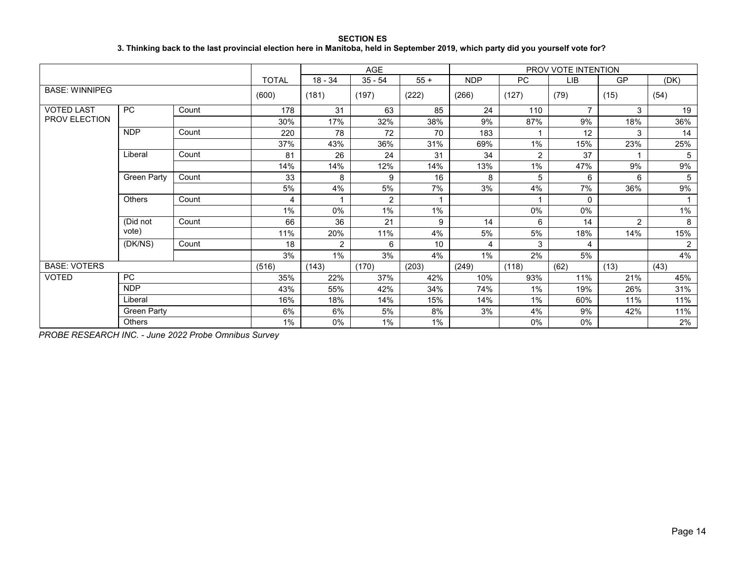**SECTION ES 3. Thinking back to the last provincial election here in Manitoba, held in September 2019, which party did you yourself vote for?**

|                       |                    |       |              |                         | AGE            |        |            |           | PROV VOTE INTENTION |                |                |
|-----------------------|--------------------|-------|--------------|-------------------------|----------------|--------|------------|-----------|---------------------|----------------|----------------|
|                       |                    |       | <b>TOTAL</b> | $18 - 34$               | $35 - 54$      | $55 +$ | <b>NDP</b> | <b>PC</b> | <b>LIB</b>          | GP             | (DK)           |
| <b>BASE: WINNIPEG</b> |                    |       | (600)        | (181)                   | (197)          | (222)  | (266)      | (127)     | (79)                | (15)           | (54)           |
| <b>VOTED LAST</b>     | PC                 | Count | 178          | 31                      | 63             | 85     | 24         | 110       | $\overline{7}$      | 3              | 19             |
| PROV ELECTION         |                    |       | 30%          | 17%                     | 32%            | 38%    | 9%         | 87%       | 9%                  | 18%            | 36%            |
|                       | <b>NDP</b>         | Count | 220          | 78                      | 72             | 70     | 183        |           | 12                  | 3              | 14             |
|                       |                    |       | 37%          | 43%                     | 36%            | 31%    | 69%        | 1%        | 15%                 | 23%            | 25%            |
|                       | Liberal            | Count | 81           | 26                      | 24             | 31     | 34         | 2         | 37                  |                | 5              |
|                       |                    |       | 14%          | 14%                     | 12%            | 14%    | 13%        | 1%        | 47%                 | 9%             | 9%             |
|                       | <b>Green Party</b> | Count | 33           | 8                       | 9              | 16     | 8          | 5         | 6                   | 6              | 5              |
|                       |                    |       | 5%           | 4%                      | 5%             | 7%     | 3%         | 4%        | 7%                  | 36%            | 9%             |
|                       | <b>Others</b>      | Count | 4            | $\overline{\mathbf{A}}$ | $\overline{2}$ |        |            |           | $\mathbf 0$         |                |                |
|                       |                    |       | $1\%$        | $0\%$                   | $1\%$          | $1\%$  |            | 0%        | $0\%$               |                | 1%             |
|                       | (Did not           | Count | 66           | 36                      | 21             | 9      | 14         | 6         | 14                  | $\overline{2}$ | 8              |
|                       | vote)              |       | 11%          | 20%                     | 11%            | 4%     | 5%         | 5%        | 18%                 | 14%            | 15%            |
|                       | (DK/NS)            | Count | 18           | 2                       | 6              | 10     | 4          | 3         | 4                   |                | $\overline{2}$ |
|                       |                    |       | 3%           | 1%                      | 3%             | 4%     | $1\%$      | 2%        | 5%                  |                | 4%             |
| <b>BASE: VOTERS</b>   |                    |       | (516)        | (143)                   | (170)          | (203)  | (249)      | (118)     | (62)                | (13)           | (43)           |
| <b>VOTED</b>          | <b>PC</b>          |       | 35%          | 22%                     | 37%            | 42%    | 10%        | 93%       | 11%                 | 21%            | 45%            |
|                       | <b>NDP</b>         |       | 43%          | 55%                     | 42%            | 34%    | 74%        | 1%        | 19%                 | 26%            | 31%            |
|                       | Liberal            |       | 16%          | 18%                     | 14%            | 15%    | 14%        | 1%        | 60%                 | 11%            | 11%            |
|                       | <b>Green Party</b> |       | 6%           | 6%                      | 5%             | 8%     | 3%         | 4%        | 9%                  | 42%            | 11%            |
|                       | <b>Others</b>      |       | 1%           | 0%                      | 1%             | 1%     |            | 0%        | $0\%$               |                | 2%             |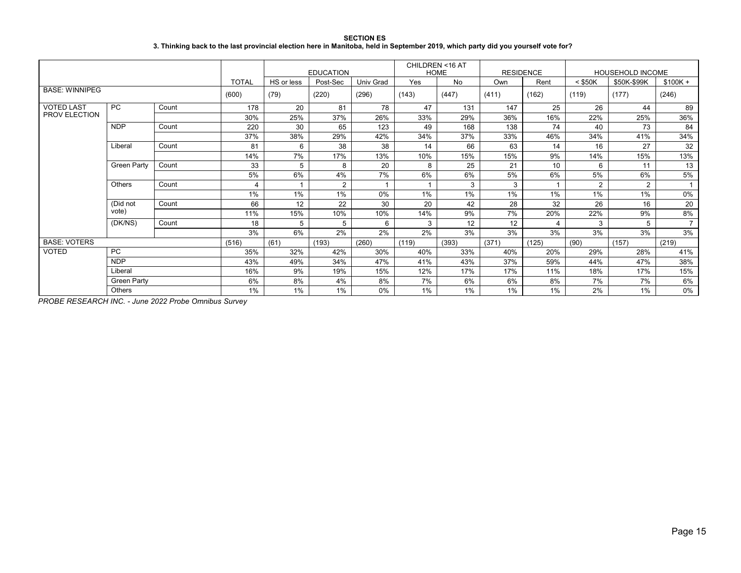#### **SECTION ES 3. Thinking back to the last provincial election here in Manitoba, held in September 2019, which party did you yourself vote for?**

|                       |                    |       |                |            | <b>EDUCATION</b> |                  | CHILDREN <16 AT<br><b>RESIDENCE</b><br><b>HOME</b> |           |       |                | <b>HOUSEHOLD INCOME</b> |             |                |
|-----------------------|--------------------|-------|----------------|------------|------------------|------------------|----------------------------------------------------|-----------|-------|----------------|-------------------------|-------------|----------------|
|                       |                    |       | <b>TOTAL</b>   | HS or less | Post-Sec         | <b>Univ Grad</b> | Yes                                                | <b>No</b> | Own   | Rent           | $<$ \$50K               | \$50K-\$99K | $$100K +$      |
| <b>BASE: WINNIPEG</b> |                    |       | (600)          | (79)       | (220)            | (296)            | (143)                                              | (447)     | (411) | (162)          | (119)                   | (177)       | (246)          |
| <b>VOTED LAST</b>     | <b>PC</b>          | Count | 178            | 20         | 81               | 78               | 47                                                 | 131       | 147   | 25             | 26                      | 44          | 89             |
| <b>PROV ELECTION</b>  |                    |       | 30%            | 25%        | 37%              | 26%              | 33%                                                | 29%       | 36%   | 16%            | 22%                     | 25%         | 36%            |
|                       | <b>NDP</b>         | Count | 220            | 30         | 65               | 123              | 49                                                 | 168       | 138   | 74             | 40                      | 73          | 84             |
|                       |                    |       | 37%            | 38%        | 29%              | 42%              | 34%                                                | 37%       | 33%   | 46%            | 34%                     | 41%         | 34%            |
|                       | Liberal            | Count | 81             | 6          | 38               | 38               | 14                                                 | 66        | 63    | 14             | 16                      | 27          | 32             |
|                       |                    |       | 14%            | 7%         | 17%              | 13%              | 10%                                                | 15%       | 15%   | 9%             | 14%                     | 15%         | 13%            |
|                       | Green Party        | Count | 33             | 5          | 8                | 20               | 8                                                  | 25        | 21    | 10             | 6                       | 11          | 13             |
|                       |                    |       | 5%             | 6%         | 4%               | 7%               | 6%                                                 | 6%        | 5%    | 6%             | 5%                      | 6%          | 5%             |
|                       | Others             | Count | $\overline{4}$ |            | 2                |                  |                                                    | 3         | 3     |                | $\overline{2}$          | 2           | $\overline{1}$ |
|                       |                    |       | 1%             | 1%         | 1%               | 0%               | 1%                                                 | $1\%$     | 1%    | 1%             | 1%                      | 1%          | 0%             |
|                       | (Did not           | Count | 66             | 12         | 22               | 30               | 20                                                 | 42        | 28    | 32             | 26                      | 16          | 20             |
|                       | vote)              |       | 11%            | 15%        | 10%              | 10%              | 14%                                                | 9%        | 7%    | 20%            | 22%                     | 9%          | 8%             |
|                       | (DK/NS)            | Count | 18             | 5          | 5                | 6                | 3                                                  | 12        | 12    | $\overline{4}$ | 3                       | 5           | $\overline{7}$ |
|                       |                    |       | 3%             | 6%         | 2%               | 2%               | 2%                                                 | 3%        | 3%    | 3%             | 3%                      | 3%          | 3%             |
| <b>BASE: VOTERS</b>   |                    |       | (516)          | (61)       | (193)            | (260)            | (119)                                              | (393)     | (371) | (125)          | (90)                    | (157)       | (219)          |
| <b>VOTED</b>          | <b>PC</b>          |       | 35%            | 32%        | 42%              | 30%              | 40%                                                | 33%       | 40%   | 20%            | 29%                     | 28%         | 41%            |
|                       | <b>NDP</b>         |       | 43%            | 49%        | 34%              | 47%              | 41%                                                | 43%       | 37%   | 59%            | 44%                     | 47%         | 38%            |
|                       | Liberal            |       | 16%            | 9%         | 19%              | 15%              | 12%                                                | 17%       | 17%   | 11%            | 18%                     | 17%         | 15%            |
|                       | <b>Green Party</b> |       | 6%             | 8%         | 4%               | 8%               | 7%                                                 | 6%        | 6%    | 8%             | 7%                      | 7%          | 6%             |
|                       | <b>Others</b>      |       | $1\%$          | 1%         | $1\%$            | 0%               | 1%                                                 | 1%        | 1%    | 1%             | 2%                      | 1%          | 0%             |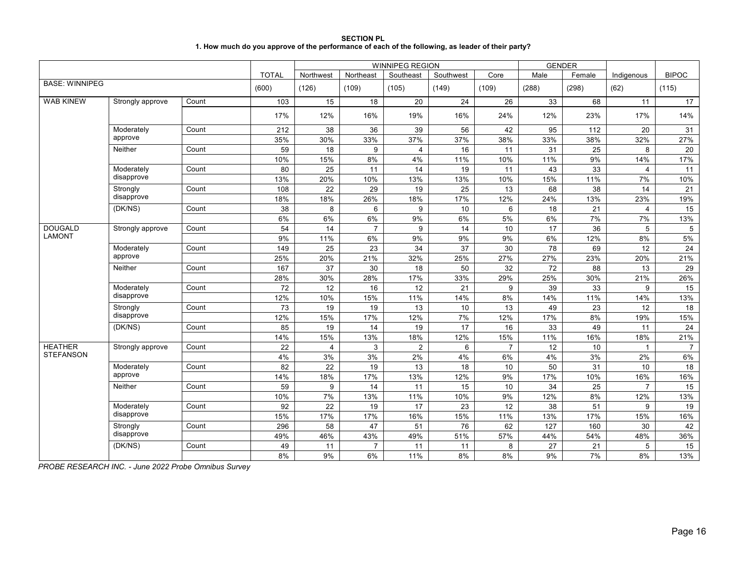| <b>SECTION PL</b>                                                                                 |
|---------------------------------------------------------------------------------------------------|
| 1. How much do you approve of the performance of each of the following, as leader of their party? |

|                       |                  |       |              | <b>WINNIPEG REGION</b> |                |                |           |                |                 | <b>GENDER</b> |                |                |
|-----------------------|------------------|-------|--------------|------------------------|----------------|----------------|-----------|----------------|-----------------|---------------|----------------|----------------|
|                       |                  |       | <b>TOTAL</b> | Northwest              | Northeast      | Southeast      | Southwest | Core           | Male            | Female        | Indigenous     | <b>BIPOC</b>   |
| <b>BASE: WINNIPEG</b> |                  |       | (600)        | (126)                  | (109)          | (105)          | (149)     | (109)          | (288)           | (298)         | (62)           | (115)          |
| <b>WAB KINEW</b>      | Strongly approve | Count | 103          | 15                     | 18             | 20             | 24        | 26             | 33              | 68            | 11             | 17             |
|                       |                  |       | 17%          | 12%                    | 16%            | 19%            | 16%       | 24%            | 12%             | 23%           | 17%            | 14%            |
|                       | Moderately       | Count | 212          | 38                     | 36             | 39             | 56        | 42             | 95              | 112           | 20             | 31             |
|                       | approve          |       | 35%          | 30%                    | 33%            | 37%            | 37%       | 38%            | 33%             | 38%           | 32%            | 27%            |
|                       | Neither          | Count | 59           | 18                     | 9              | $\overline{4}$ | 16        | 11             | 31              | 25            | 8              | 20             |
|                       |                  |       | 10%          | 15%                    | 8%             | 4%             | 11%       | 10%            | 11%             | 9%            | 14%            | 17%            |
|                       | Moderately       | Count | 80           | 25                     | 11             | 14             | 19        | 11             | 43              | 33            | $\overline{4}$ | 11             |
|                       | disapprove       |       | 13%          | 20%                    | 10%            | 13%            | 13%       | 10%            | 15%             | 11%           | 7%             | 10%            |
|                       | Strongly         | Count | 108          | 22                     | 29             | 19             | 25        | 13             | 68              | 38            | 14             | 21             |
|                       | disapprove       |       | 18%          | 18%                    | 26%            | 18%            | 17%       | 12%            | 24%             | 13%           | 23%            | 19%            |
|                       | (DK/NS)          | Count | 38           | 8                      | 6              | 9              | 10        | 6              | 18              | 21            | 4              | 15             |
|                       |                  |       | 6%           | 6%                     | 6%             | 9%             | 6%        | 5%             | 6%              | 7%            | 7%             | 13%            |
| <b>DOUGALD</b>        | Strongly approve | Count | 54           | 14                     | $\overline{7}$ | 9              | 14        | 10             | 17              | 36            | 5              | 5              |
| <b>LAMONT</b>         |                  |       | 9%           | 11%                    | 6%             | 9%             | 9%        | 9%             | 6%              | 12%           | 8%             | 5%             |
|                       | Moderately       | Count | 149          | 25                     | 23             | 34             | 37        | 30             | 78              | 69            | 12             | 24             |
|                       | approve          |       | 25%          | 20%                    | 21%            | 32%            | 25%       | 27%            | 27%             | 23%           | 20%            | 21%            |
|                       | Neither          | Count | 167          | $\overline{37}$        | 30             | 18             | 50        | 32             | $\overline{72}$ | 88            | 13             | 29             |
|                       |                  |       | 28%          | 30%                    | 28%            | 17%            | 33%       | 29%            | 25%             | 30%           | 21%            | 26%            |
|                       | Moderately       | Count | 72           | 12                     | 16             | 12             | 21        | 9              | 39              | 33            | 9              | 15             |
|                       | disapprove       |       | 12%          | 10%                    | 15%            | 11%            | 14%       | 8%             | 14%             | 11%           | 14%            | 13%            |
|                       | Strongly         | Count | 73           | 19                     | 19             | 13             | 10        | 13             | 49              | 23            | 12             | 18             |
|                       | disapprove       |       | 12%          | 15%                    | 17%            | 12%            | 7%        | 12%            | 17%             | 8%            | 19%            | 15%            |
|                       | (DK/NS)          | Count | 85           | 19                     | 14             | 19             | 17        | 16             | 33              | 49            | 11             | 24             |
|                       |                  |       | 14%          | 15%                    | 13%            | 18%            | 12%       | 15%            | 11%             | 16%           | 18%            | 21%            |
| <b>HEATHER</b>        | Strongly approve | Count | 22           | $\overline{4}$         | 3              | $\overline{2}$ | 6         | $\overline{7}$ | 12              | 10            | $\mathbf{1}$   | $\overline{7}$ |
| <b>STEFANSON</b>      |                  |       | 4%           | 3%                     | 3%             | 2%             | 4%        | 6%             | 4%              | 3%            | 2%             | 6%             |
|                       | Moderately       | Count | 82           | 22                     | 19             | 13             | 18        | 10             | 50              | 31            | 10             | 18             |
|                       | approve          |       | 14%          | 18%                    | 17%            | 13%            | 12%       | 9%             | 17%             | 10%           | 16%            | 16%            |
|                       | Neither          | Count | 59           | 9                      | 14             | 11             | 15        | 10             | 34              | 25            | $\overline{7}$ | 15             |
|                       |                  |       | 10%          | 7%                     | 13%            | 11%            | 10%       | 9%             | 12%             | 8%            | 12%            | 13%            |
|                       | Moderately       | Count | 92           | 22                     | 19             | 17             | 23        | 12             | 38              | 51            | 9              | 19             |
|                       | disapprove       |       | 15%          | 17%                    | 17%            | 16%            | 15%       | 11%            | 13%             | 17%           | 15%            | 16%            |
|                       | Strongly         | Count | 296          | 58                     | 47             | 51             | 76        | 62             | 127             | 160           | 30             | 42             |
|                       | disapprove       |       | 49%          | 46%                    | 43%            | 49%            | 51%       | 57%            | 44%             | 54%           | 48%            | 36%            |
|                       | (DK/NS)          | Count | 49           | 11                     | $\overline{7}$ | 11             | 11        | 8              | 27              | 21            | 5              | 15             |
|                       |                  |       | 8%           | 9%                     | 6%             | 11%            | 8%        | 8%             | 9%              | 7%            | 8%             | 13%            |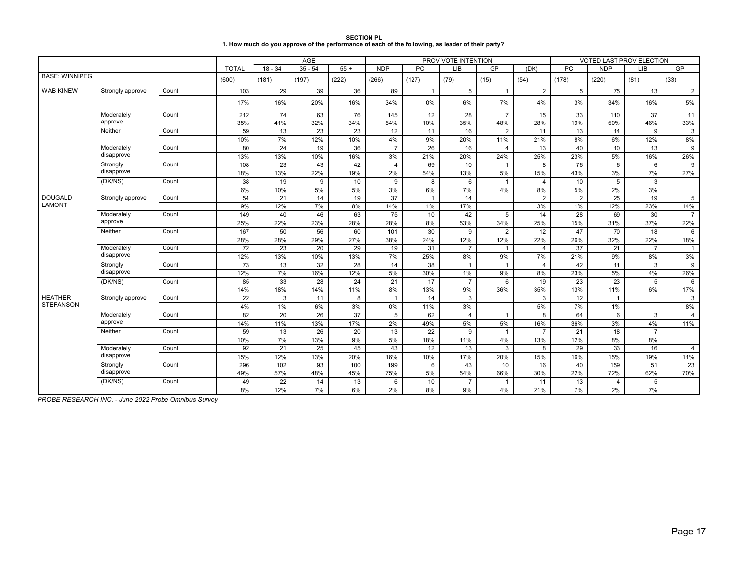| <b>SECTION PL</b>                                                                                 |
|---------------------------------------------------------------------------------------------------|
| 1. How much do you approve of the performance of each of the following, as leader of their party? |

|                       |                          |       | AGE          |                 |                 |       |                 |                | PROV VOTE INTENTION |                |                |                 |                | VOTED LAST PROV ELECTION |                 |
|-----------------------|--------------------------|-------|--------------|-----------------|-----------------|-------|-----------------|----------------|---------------------|----------------|----------------|-----------------|----------------|--------------------------|-----------------|
|                       |                          |       | <b>TOTAL</b> | $18 - 34$       | $35 - 54$       | $55+$ | <b>NDP</b>      | <b>PC</b>      | <b>LIB</b>          | GP             | (DK)           | PC              | <b>NDP</b>     | <b>LIB</b>               | GP              |
| <b>BASE: WINNIPEG</b> |                          |       | (600)        | (181)           | (197)           | (222) | (266)           | (127)          | (79)                | (15)           | (54)           | (178)           | (220)          | (81)                     | (33)            |
| <b>WAB KINEW</b>      | Strongly approve         | Count | 103          | 29              | 39              | 36    | 89              | $\mathbf{1}$   | 5                   |                | 2              | $5\overline{5}$ | 75             | 13                       | $\overline{2}$  |
|                       |                          |       | 17%          | 16%             | 20%             | 16%   | 34%             | 0%             | 6%                  | 7%             | 4%             | 3%              | 34%            | 16%                      | 5%              |
|                       | Moderately               | Count | 212          | 74              | 63              | 76    | 145             | 12             | 28                  | $\overline{7}$ | 15             | 33              | 110            | 37                       | 11              |
|                       | approve                  |       | 35%          | 41%             | 32%             | 34%   | 54%             | 10%            | 35%                 | 48%            | 28%            | 19%             | 50%            | 46%                      | 33%             |
|                       | Neither                  | Count | 59           | $\overline{13}$ | $\overline{23}$ | 23    | 12              | 11             | 16                  | 2              | 11             | 13              | 14             | 9                        | $\mathbf{3}$    |
|                       |                          |       | 10%          | 7%              | 12%             | 10%   | 4%              | 9%             | 20%                 | 11%            | 21%            | 8%              | 6%             | 12%                      | 8%              |
|                       | Moderately               | Count | 80           | 24              | 19              | 36    | $\overline{7}$  | 26             | 16                  | 4              | 13             | 40              | 10             | 13                       | 9               |
|                       | disapprove               |       | 13%          | 13%             | 10%             | 16%   | 3%              | 21%            | 20%                 | 24%            | 25%            | 23%             | 5%             | 16%                      | 26%             |
|                       | Strongly                 | Count | 108          | 23              | 43              | 42    | $\overline{4}$  | 69             | 10                  |                | 8              | 76              | 6              | 6                        | 9               |
|                       | disapprove               |       | 18%          | 13%             | 22%             | 19%   | 2%              | 54%            | 13%                 | 5%             | 15%            | 43%             | 3%             | 7%                       | 27%             |
| (DK/NS)               |                          | Count | 38           | 19              | 9               | 10    | 9               | 8              | 6                   |                | $\overline{4}$ | 10              | 5              | 3                        |                 |
|                       |                          |       | 6%           | 10%             | 5%              | 5%    | 3%              | 6%             | 7%                  | 4%             | 8%             | 5%              | 2%             | 3%                       |                 |
| <b>DOUGALD</b>        | Strongly approve         | Count | 54           | 21              | 14              | 19    | 37              | $\overline{1}$ | 14                  |                | 2              | 2               | 25             | 19                       | 5               |
| <b>LAMONT</b>         |                          |       | 9%           | 12%             | 7%              | 8%    | 14%             | 1%             | 17%                 |                | 3%             | 1%              | 12%            | 23%                      | 14%             |
|                       | Moderately               | Count | 149          | 40              | 46              | 63    | 75              | 10             | 42                  | 5              | 14             | 28              | 69             | 30                       | $\overline{7}$  |
|                       | approve                  |       | 25%          | 22%             | 23%             | 28%   | 28%             | 8%             | 53%                 | 34%            | 25%            | 15%             | 31%            | 37%                      | 22%             |
|                       | Neither                  | Count | 167          | 50              | 56              | 60    | 101             | 30             | 9                   | $\overline{2}$ | 12             | 47              | 70             | 18                       | 6               |
|                       |                          |       | 28%          | 28%             | 29%             | 27%   | 38%             | 24%            | 12%                 | 12%            | 22%            | 26%             | 32%            | 22%                      | 18%             |
|                       | Moderately<br>disapprove | Count | 72           | 23              | 20              | 29    | 19              | 31             | $\overline{7}$      | $\overline{1}$ | $\overline{4}$ | 37              | 21             | $\overline{7}$           | $\overline{1}$  |
|                       |                          |       | 12%          | 13%             | 10%             | 13%   | 7%              | 25%            | 8%                  | 9%             | 7%             | 21%             | 9%             | 8%                       | 3%              |
|                       | Strongly                 | Count | 73           | 13              | 32              | 28    | 14              | 38             | $\mathbf{1}$        |                | $\overline{4}$ | 42              | 11             | 3                        | 9               |
|                       | disapprove               |       | 12%          | 7%              | 16%             | 12%   | 5%              | 30%            | $1\%$               | 9%             | 8%             | 23%             | 5%             | 4%                       | 26%             |
|                       | (DK/NS)                  | Count | 85           | 33              | 28              | 24    | 21              | 17             | $\overline{7}$      | 6              | 19             | 23              | 23             | 5                        | $6\phantom{1}6$ |
|                       |                          |       | 14%          | 18%             | 14%             | 11%   | 8%              | 13%            | 9%                  | 36%            | 35%            | 13%             | 11%            | 6%                       | 17%             |
| <b>HEATHER</b>        | Strongly approve         | Count | 22           | $\mathbf{3}$    | 11              | 8     | $\overline{1}$  | 14             | 3                   |                | 3              | 12              | $\overline{1}$ |                          | 3               |
| <b>STEFANSON</b>      |                          |       | 4%           | 1%              | 6%              | 3%    | 0%              | 11%            | 3%                  |                | 5%             | 7%              | 1%             |                          | $8\%$           |
|                       | Moderately               | Count | 82           | 20              | 26              | 37    | $5\phantom{.0}$ | 62             | 4                   |                | 8              | 64              | 6              | 3                        | $\overline{4}$  |
|                       | approve                  |       | 14%          | 11%             | 13%             | 17%   | 2%              | 49%            | 5%                  | 5%             | 16%            | 36%             | 3%             | 4%                       | 11%             |
|                       | Neither                  | Count | 59           | 13              | 26              | 20    | 13              | 22             | 9                   |                | $\overline{7}$ | 21              | 18             | $\overline{7}$           |                 |
|                       |                          |       | 10%          | 7%              | 13%             | 9%    | 5%              | 18%            | 11%                 | 4%             | 13%            | 12%             | 8%             | 8%                       |                 |
|                       | Moderately               | Count | 92           | 21              | 25              | 45    | 43              | 12             | 13                  | 3              | 8              | 29              | 33             | 16                       | $\overline{4}$  |
|                       | disapprove               |       | 15%          | 12%             | 13%             | 20%   | 16%             | 10%            | 17%                 | 20%            | 15%            | 16%             | 15%            | 19%                      | 11%             |
|                       | Strongly                 | Count | 296          | 102             | 93              | 100   | 199             | 6              | 43                  | 10             | 16             | 40              | 159            | 51                       | 23              |
|                       | disapprove               |       | 49%          | 57%             | 48%             | 45%   | 75%             | 5%             | 54%                 | 66%            | 30%            | 22%             | 72%            | 62%                      | 70%             |
|                       | (DK/NS)                  | Count | 49           | 22              | 14              | 13    | 6               | 10             | $\overline{7}$      |                | 11             | 13              | $\overline{4}$ | 5                        |                 |
|                       |                          |       | 8%           | 12%             | 7%              | 6%    | 2%              | 8%             | 9%                  | 4%             | 21%            | 7%              | 2%             | 7%                       |                 |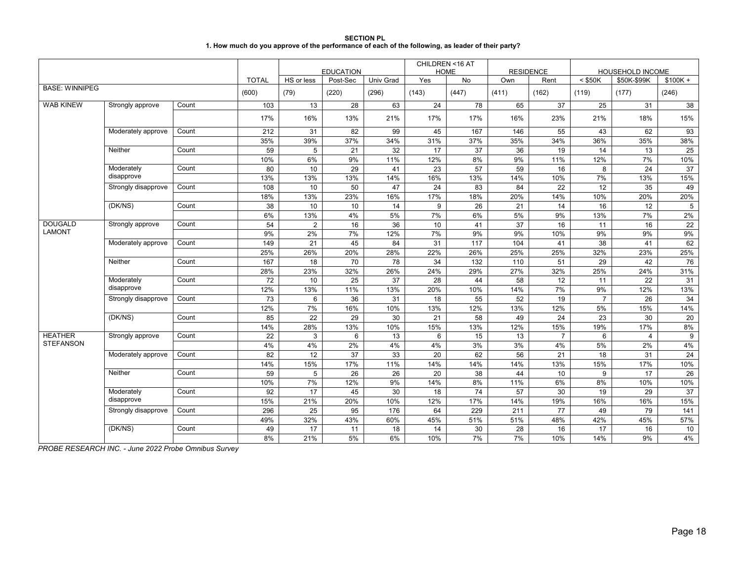| <b>SECTION PL</b>                                                                                 |  |
|---------------------------------------------------------------------------------------------------|--|
| 1. How much do you approve of the performance of each of the following, as leader of their party? |  |

|                                 |                          |       |              |                | <b>EDUCATION</b> |           | CHILDREN <16 AT<br><b>HOME</b> |                 | <b>RESIDENCE</b> |                      | <b>HOUSEHOLD INCOME</b> |                      |           |
|---------------------------------|--------------------------|-------|--------------|----------------|------------------|-----------|--------------------------------|-----------------|------------------|----------------------|-------------------------|----------------------|-----------|
|                                 |                          |       | <b>TOTAL</b> | HS or less     | Post-Sec         | Univ Grad | Yes                            | No              | Own              | Rent                 | $<$ \$50K               | \$50K-\$99K          | $$100K +$ |
| <b>BASE: WINNIPEG</b>           |                          |       | (600)        | (79)           | (220)            | (296)     | (143)                          | (447)           | (411)            | (162)                | (119)                   | (177)                | (246)     |
| <b>WAB KINEW</b>                | Strongly approve         | Count | 103          | 13             | 28               | 63        | 24                             | 78              | 65               | 37                   | 25                      | 31                   | 38        |
|                                 |                          |       | 17%          | 16%            | 13%              | 21%       | 17%                            | 17%             | 16%              | 23%                  | 21%                     | 18%                  | 15%       |
|                                 | Moderately approve       | Count | 212          | 31             | 82               | 99        | 45                             | 167             | 146              | 55                   | 43                      | 62                   | 93        |
|                                 |                          |       | 35%          | 39%            | 37%              | 34%       | 31%                            | 37%             | 35%              | 34%                  | 36%                     | 35%                  | 38%       |
|                                 | Neither                  | Count | 59           | 5              | 21               | 32        | 17                             | 37              | 36               | 19                   | 14                      | 13                   | 25        |
|                                 |                          |       | 10%          | 6%             | 9%               | 11%       | 12%                            | 8%              | 9%               | 11%                  | 12%                     | 7%                   | 10%       |
|                                 | Moderately               | Count | 80           | 10             | 29               | 41        | 23                             | 57              | 59               | 16                   | 8                       | 24                   | 37        |
|                                 | disapprove               |       | 13%          | 13%            | 13%              | 14%       | 16%                            | 13%             | 14%              | 10%                  | 7%                      | 13%                  | 15%       |
|                                 | Strongly disapprove      | Count | 108          | 10             | 50               | 47        | 24                             | 83              | 84               | 22                   | 12                      | 35                   | 49        |
|                                 |                          |       | 18%          | 13%            | 23%              | 16%       | 17%                            | 18%             | 20%              | 14%                  | 10%                     | 20%                  | 20%       |
|                                 | (DK/NS)                  | Count | 38           | 10             | 10               | 14        | 9                              | 26              | 21               | 14                   | 16                      | 12                   | 5         |
|                                 |                          |       | 6%           | 13%            | 4%               | 5%        | 7%                             | 6%              | 5%               | 9%                   | 13%                     | 7%                   | 2%        |
| <b>DOUGALD</b><br><b>LAMONT</b> | Strongly approve         | Count | 54           | $\overline{2}$ | 16               | 36        | 10                             | 41              | 37               | 16                   | 11                      | 16                   | 22        |
|                                 |                          |       | 9%           | $2\%$          | 7%               | 12%       | 7%                             | 9%              | 9%               | 10%                  | 9%                      | 9%                   | 9%        |
|                                 | Moderately approve       | Count | 149          | 21             | 45               | 84        | 31                             | 117             | 104              | 41                   | 38                      | 41                   | 62        |
|                                 |                          |       | 25%          | 26%            | 20%              | 28%       | 22%                            | 26%             | 25%              | 25%                  | 32%                     | 23%                  | 25%       |
|                                 | Neither                  | Count | 167          | 18             | 70               | 78        | 34                             | 132             | 110              | 51                   | 29                      | 42                   | 76        |
|                                 |                          |       | 28%          | 23%            | 32%              | 26%       | 24%                            | 29%             | 27%              | 32%                  | 25%                     | 24%                  | 31%       |
|                                 | Moderately<br>disapprove | Count | 72           | 10             | 25               | 37        | 28                             | 44              | 58               | 12                   | 11                      | 22                   | 31        |
|                                 |                          |       | 12%          | 13%            | 11%              | 13%       | 20%                            | 10%             | 14%              | 7%                   | 9%                      | 12%                  | 13%       |
|                                 | Strongly disapprove      | Count | 73           | 6              | 36               | 31        | 18                             | 55              | 52               | 19                   | $\overline{7}$          | 26                   | 34        |
|                                 |                          |       | 12%          | 7%             | 16%              | 10%       | 13%                            | 12%             | 13%              | 12%                  | 5%                      | 15%                  | 14%       |
|                                 | (DK/NS)                  | Count | 85           | 22             | 29               | 30        | 21                             | 58              | 49               | 24                   | 23                      | 30                   | 20        |
| <b>HEATHER</b>                  |                          | Count | 14%          | 28%            | 13%              | 10%       | 15%                            | 13%             | 12%              | 15%                  | 19%                     | 17%                  | 8%        |
| <b>STEFANSON</b>                | Strongly approve         |       | 22<br>4%     | 3<br>4%        | 6<br>2%          | 13<br>4%  | 6<br>4%                        | 15<br>3%        | 13<br>3%         | $\overline{7}$<br>4% | 6<br>5%                 | $\overline{4}$<br>2% | 9<br>4%   |
|                                 | Moderately approve       | Count | 82           | 12             | 37               | 33        |                                | 62              | 56               |                      | 18                      |                      |           |
|                                 |                          |       | 14%          | 15%            | 17%              | 11%       | 20<br>14%                      | 14%             | 14%              | 21<br>13%            | 15%                     | 31<br>17%            | 24<br>10% |
|                                 | Neither                  | Count |              | 5              | 26               | 26        | 20                             | 38              | 44               | 10                   | 9                       | 17                   |           |
|                                 |                          |       | 59<br>10%    | 7%             | 12%              | 9%        | 14%                            | 8%              | 11%              | 6%                   | 8%                      | 10%                  | 26<br>10% |
|                                 | Moderately               | Count | 92           | 17             | 45               | 30        | 18                             | $\overline{74}$ | 57               | 30                   | 19                      | 29                   | 37        |
|                                 | disapprove               |       | 15%          | 21%            | 20%              | 10%       | 12%                            | 17%             | 14%              | 19%                  | 16%                     | 16%                  | 15%       |
|                                 | Strongly disapprove      | Count | 296          | 25             | 95               | 176       | 64                             | 229             | 211              | 77                   | 49                      | 79                   | 141       |
|                                 |                          |       | 49%          | 32%            | 43%              | 60%       | 45%                            | 51%             | 51%              | 48%                  | 42%                     | 45%                  | 57%       |
|                                 | (DK/NS)                  | Count | 49           | 17             | 11               | 18        | 14                             | 30              | 28               | 16                   | 17                      | 16                   | 10        |
|                                 |                          |       | 8%           | 21%            | 5%               | 6%        | 10%                            | 7%              | 7%               | 10%                  | 14%                     | 9%                   | 4%        |
|                                 |                          |       |              |                |                  |           |                                |                 |                  |                      |                         |                      |           |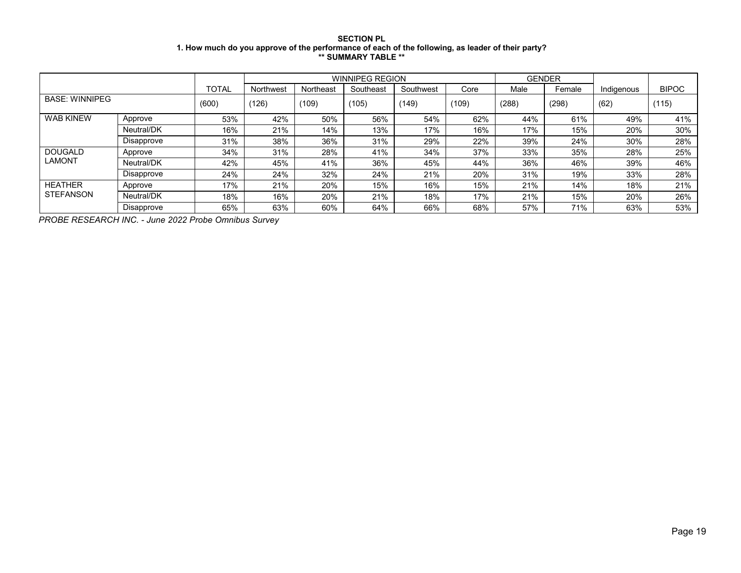## **SECTION PL 1. How much do you approve of the performance of each of the following, as leader of their party? \*\* SUMMARY TABLE \*\***

|                       |                   |              |           |           | <b>WINNIPEG REGION</b> |           |       |       | <b>GENDER</b> |            |              |
|-----------------------|-------------------|--------------|-----------|-----------|------------------------|-----------|-------|-------|---------------|------------|--------------|
|                       |                   | <b>TOTAL</b> | Northwest | Northeast | Southeast              | Southwest | Core  | Male  | Female        | Indigenous | <b>BIPOC</b> |
| <b>BASE: WINNIPEG</b> |                   | (600)        | (126)     | (109)     | (105)                  | (149)     | (109) | (288) | (298)         | (62)       | (115)        |
| <b>WAB KINEW</b>      | Approve           | 53%          | 42%       | 50%       | 56%                    | 54%       | 62%   | 44%   | 61%           | 49%        | 41%          |
|                       | Neutral/DK        | 16%          | 21%       | 14%       | 13%                    | 17%       | 16%   | 17%   | 15%           | 20%        | 30%          |
|                       | <b>Disapprove</b> | 31%          | 38%       | 36%       | 31%                    | 29%       | 22%   | 39%   | 24%           | 30%        | 28%          |
| <b>DOUGALD</b>        | Approve           | 34%          | 31%       | 28%       | 41%                    | 34%       | 37%   | 33%   | 35%           | 28%        | 25%          |
| <b>LAMONT</b>         | Neutral/DK        | 42%          | 45%       | 41%       | 36%                    | 45%       | 44%   | 36%   | 46%           | 39%        | 46%          |
|                       | Disapprove        | 24%          | 24%       | 32%       | 24%                    | 21%       | 20%   | 31%   | 19%           | 33%        | 28%          |
| <b>HEATHER</b>        | Approve           | 17%          | 21%       | 20%       | 15%                    | 16%       | 15%   | 21%   | 14%           | 18%        | 21%          |
| <b>STEFANSON</b>      | Neutral/DK        | 18%          | 16%       | 20%       | 21%                    | 18%       | 17%   | 21%   | 15%           | 20%        | 26%          |
|                       | Disapprove        | 65%          | 63%       | 60%       | 64%                    | 66%       | 68%   | 57%   | 71%           | 63%        | 53%          |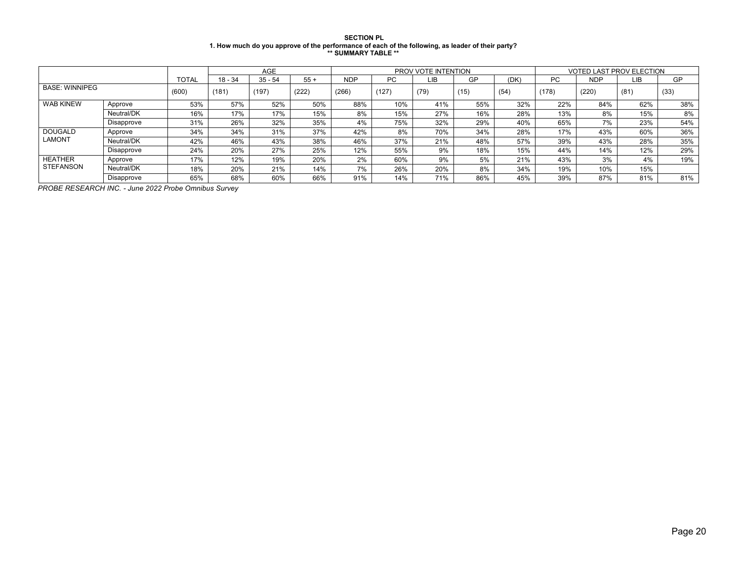#### **SECTION PL 1. How much do you approve of the performance of each of the following, as leader of their party? \*\* SUMMARY TABLE \*\***

|                       |            |              |           | <b>AGE</b> |       |            |       | PROV VOTE INTENTION |      |      | <b>VOTED LAST PROV ELECTION</b> |            |      |      |  |
|-----------------------|------------|--------------|-----------|------------|-------|------------|-------|---------------------|------|------|---------------------------------|------------|------|------|--|
|                       |            | <b>TOTAL</b> | $18 - 34$ | $35 - 54$  | $55+$ | <b>NDP</b> | PC.   | LIB                 | GP   | (DK) | PC.                             | <b>NDP</b> | LIB  | GP   |  |
| <b>BASE: WINNIPEG</b> |            | (600)        | (181)     | (197)      | (222) | (266)      | (127) | (79)                | (15) | (54) | (178)                           | (220)      | (81) | (33) |  |
| <b>WAB KINEW</b>      | Approve    | 53%          | 57%       | 52%        | 50%   | 88%        | 10%   | 41%                 | 55%  | 32%  | 22%                             | 84%        | 62%  | 38%  |  |
|                       | Neutral/DK | 16%          | 17%       | 17%        | 15%   | 8%         | 15%   | 27%                 | 16%  | 28%  | 13%                             | 8%         | 15%  | 8%   |  |
|                       | Disapprove | 31%          | 26%       | 32%        | 35%   | 4%         | 75%   | 32%                 | 29%  | 40%  | 65%                             | 7%         | 23%  | 54%  |  |
| <b>DOUGALD</b>        | Approve    | 34%          | 34%       | 31%        | 37%   | 42%        | 8%    | 70%                 | 34%  | 28%  | 17%                             | 43%        | 60%  | 36%  |  |
| <b>LAMONT</b>         | Neutral/DK | 42%          | 46%       | 43%        | 38%   | 46%        | 37%   | 21%                 | 48%  | 57%  | 39%                             | 43%        | 28%  | 35%  |  |
|                       | Disapprove | 24%          | 20%       | 27%        | 25%   | 12%        | 55%   | 9%                  | 18%  | 15%  | 44%                             | 14%        | 12%  | 29%  |  |
| <b>HEATHER</b>        | Approve    | 17%          | 12%       | 19%        | 20%   | 2%         | 60%   | 9%                  | 5%   | 21%  | 43%                             | 3%         | 4%   | 19%  |  |
| <b>STEFANSON</b>      | Neutral/DK | 18%          | 20%       | 21%        | 14%   | 7%         | 26%   | 20%                 | 8%   | 34%  | 19%                             | 10%        | 15%  |      |  |
|                       | Disapprove | 65%          | 68%       | 60%        | 66%   | 91%        | 14%   | 71%                 | 86%  | 45%  | 39%                             | 87%        | 81%  | 81%  |  |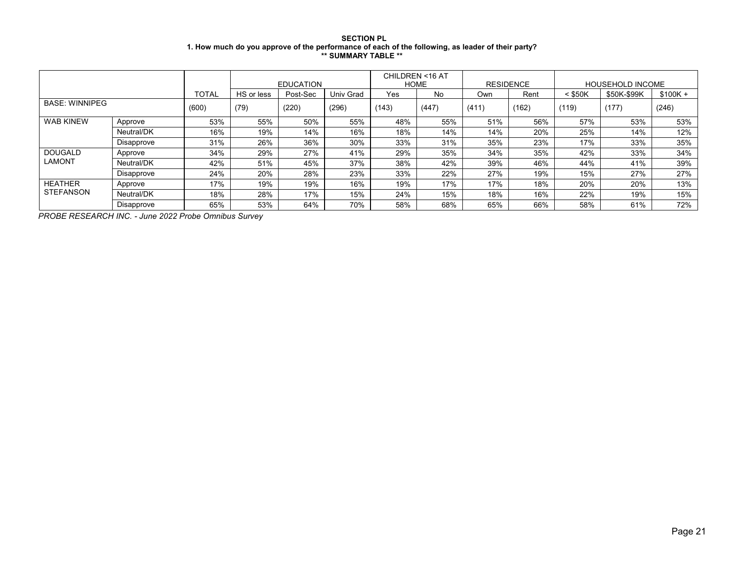## **SECTION PL 1. How much do you approve of the performance of each of the following, as leader of their party? \*\* SUMMARY TABLE \*\***

|                       |            |              |            | <b>EDUCATION</b> |                  | <b>HOME</b> | CHILDREN <16 AT | <b>RESIDENCE</b> |       | <b>HOUSEHOLD INCOME</b> |             |           |  |
|-----------------------|------------|--------------|------------|------------------|------------------|-------------|-----------------|------------------|-------|-------------------------|-------------|-----------|--|
|                       |            | <b>TOTAL</b> | HS or less | Post-Sec         | <b>Univ Grad</b> | Yes         | No              | Own              | Rent  | $<$ \$50K               | \$50K-\$99K | $$100K +$ |  |
| <b>BASE: WINNIPEG</b> |            | (600)        | (79)       | (220)            | (296)            | (143)       | (447)           | (411)            | (162) | (119)                   | (177)       | (246)     |  |
| <b>WAB KINEW</b>      | Approve    | 53%          | 55%        | 50%              | 55%              | 48%         | 55%             | 51%              | 56%   | 57%                     | 53%         | 53%       |  |
|                       | Neutral/DK | 16%          | 19%        | 14%              | 16%              | 18%         | 14%             | 14%              | 20%   | 25%                     | 14%         | 12%       |  |
|                       | Disapprove | 31%          | 26%        | 36%              | 30%              | 33%         | 31%             | 35%              | 23%   | 17%                     | 33%         | 35%       |  |
| <b>DOUGALD</b>        | Approve    | 34%          | 29%        | 27%              | 41%              | 29%         | 35%             | 34%              | 35%   | 42%                     | 33%         | 34%       |  |
| <b>LAMONT</b>         | Neutral/DK | 42%          | 51%        | 45%              | 37%              | 38%         | 42%             | 39%              | 46%   | 44%                     | 41%         | 39%       |  |
|                       | Disapprove | 24%          | 20%        | 28%              | 23%              | 33%         | 22%             | 27%              | 19%   | 15%                     | 27%         | 27%       |  |
| <b>HEATHER</b>        | Approve    | 17%          | 19%        | 19%              | 16%              | 19%         | 17%             | 17%              | 18%   | 20%                     | 20%         | 13%       |  |
| <b>STEFANSON</b>      | Neutral/DK | 18%          | 28%        | 17%              | 15%              | 24%         | 15%             | 18%              | 16%   | 22%                     | 19%         | 15%       |  |
|                       | Disapprove | 65%          | 53%        | 64%              | 70%              | 58%         | 68%             | 65%              | 66%   | 58%                     | 61%         | 72%       |  |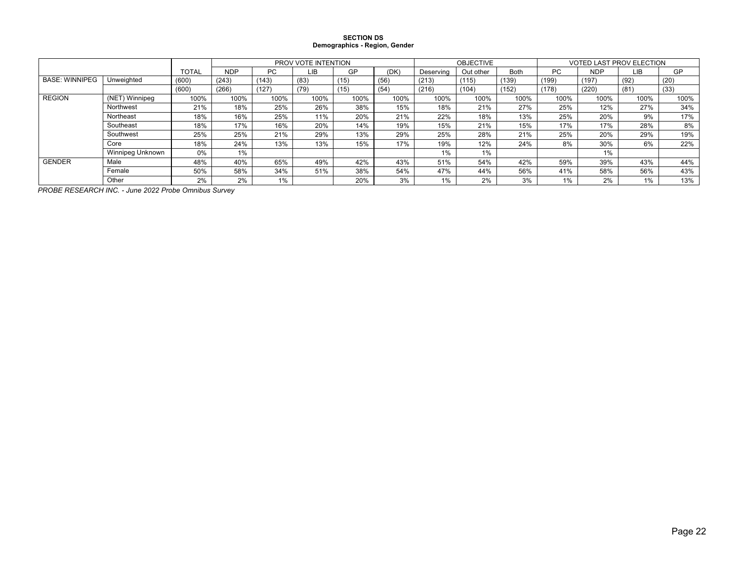#### **SECTION DS Demographics - Region, Gender**

|                       |                  |              | PROV VOTE INTENTION |       |      |      |      |           | <b>OBJECTIVE</b> |       | <b>VOTED LAST PROV ELECTION</b> |            |      |      |  |
|-----------------------|------------------|--------------|---------------------|-------|------|------|------|-----------|------------------|-------|---------------------------------|------------|------|------|--|
|                       |                  | <b>TOTAL</b> | <b>NDP</b>          | PC    | LΙB  | GP   | (DK) | Deserving | Out other        | Both  | PC.                             | <b>NDP</b> | LIB  | GP   |  |
| <b>BASE: WINNIPEG</b> | Unweighted       | (600)        | (243)               | (143) | (83) | (15) | (56) | (213)     | (115)            | (139) | (199)                           | (197)      | (92) | (20) |  |
|                       |                  | (600)        | (266)               | (127) | (79) | (15) | (54) | (216)     | (104)            | (152) | (178)                           | (220)      | (81) | (33) |  |
| <b>REGION</b>         | (NET) Winnipeg   | 100%         | 100%                | 100%  | 100% | 100% | 100% | 100%      | 100%             | 100%  | 100%                            | 100%       | 100% | 100% |  |
|                       | Northwest        | 21%          | 18%                 | 25%   | 26%  | 38%  | 15%  | 18%       | 21%              | 27%   | 25%                             | 12%        | 27%  | 34%  |  |
|                       | Northeast        | 18%          | 16%                 | 25%   | 11%  | 20%  | 21%  | 22%       | 18%              | 13%   | 25%                             | 20%        | 9%   | 17%  |  |
|                       | Southeast        | 18%          | 17%                 | 16%   | 20%  | 14%  | 19%  | 15%       | 21%              | 15%   | 17%                             | 17%        | 28%  | 8%   |  |
|                       | Southwest        | 25%          | 25%                 | 21%   | 29%  | 13%  | 29%  | 25%       | 28%              | 21%   | 25%                             | 20%        | 29%  | 19%  |  |
|                       | Core             | 18%          | 24%                 | 13%   | 13%  | 15%  | 17%  | 19%       | 12%              | 24%   | 8%                              | 30%        | 6%   | 22%  |  |
|                       | Winnipeg Unknown | 0%           | 1%                  |       |      |      |      | 1%        | 1%               |       |                                 | 1%         |      |      |  |
| <b>GENDER</b>         | Male             | 48%          | 40%                 | 65%   | 49%  | 42%  | 43%  | 51%       | 54%              | 42%   | 59%                             | 39%        | 43%  | 44%  |  |
|                       | Female           | 50%          | 58%                 | 34%   | 51%  | 38%  | 54%  | 47%       | 44%              | 56%   | 41%                             | 58%        | 56%  | 43%  |  |
|                       | Other            | 2%           | 2%                  | 1%    |      | 20%  | 3%   | 1%        | 2%               | 3%    | 1%                              | 2%         | 1%   | 13%  |  |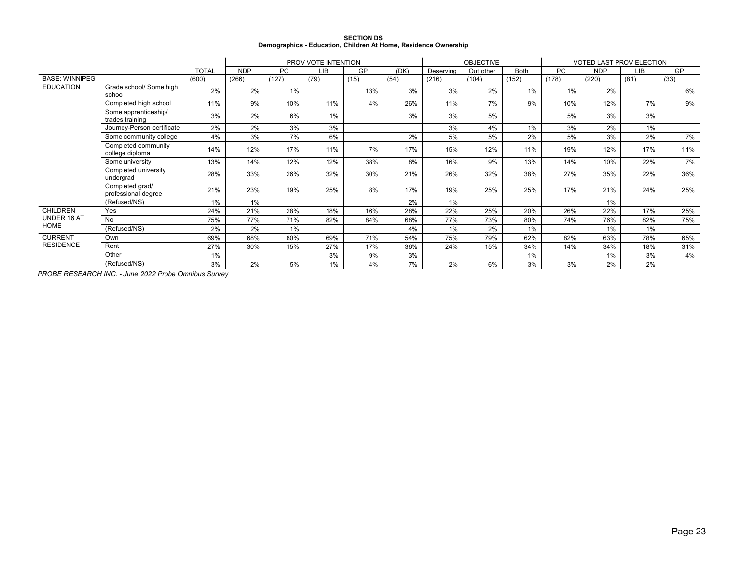|                                                                 | <b>SECTION DS</b> |  |
|-----------------------------------------------------------------|-------------------|--|
| Demographics - Education, Children At Home, Residence Ownership |                   |  |

|                       |                                         | PROV VOTE INTENTION |            |           |      |      |      | <b>OBJECTIVE</b> |           | <b>VOTED LAST PROV ELECTION</b> |       |            |       |      |
|-----------------------|-----------------------------------------|---------------------|------------|-----------|------|------|------|------------------|-----------|---------------------------------|-------|------------|-------|------|
|                       |                                         | <b>TOTAL</b>        | <b>NDP</b> | <b>PC</b> | LIB  | GP   | (DK) | Deserving        | Out other | <b>Both</b>                     | PC    | <b>NDP</b> | LIB   | GP   |
| <b>BASE: WINNIPEG</b> |                                         | (600)               | (266)      | (127)     | (79) | (15) | (54) | (216)            | (104)     | (152)                           | (178) | (220)      | (81)  | (33) |
| <b>EDUCATION</b>      | Grade school/ Some high<br>school       | 2%                  | 2%         | $1\%$     |      | 13%  | 3%   | 3%               | 2%        | $1\%$                           | 1%    | 2%         |       | 6%   |
|                       | Completed high school                   | 11%                 | 9%         | 10%       | 11%  | 4%   | 26%  | 11%              | 7%        | 9%                              | 10%   | 12%        | 7%    | 9%   |
|                       | Some apprenticeship/<br>trades training | 3%                  | 2%         | 6%        | 1%   |      | 3%   | 3%               | 5%        |                                 | 5%    | 3%         | 3%    |      |
|                       | Journey-Person certificate              | 2%                  | 2%         | 3%        | 3%   |      |      | 3%               | 4%        | 1%                              | 3%    | 2%         | 1%    |      |
|                       | Some community college                  | 4%                  | 3%         | 7%        | 6%   |      | 2%   | 5%               | 5%        | 2%                              | 5%    | 3%         | 2%    | 7%   |
|                       | Completed community<br>college diploma  | 14%                 | 12%        | 17%       | 11%  | 7%   | 17%  | 15%              | 12%       | 11%                             | 19%   | 12%        | 17%   | 11%  |
|                       | Some university                         | 13%                 | 14%        | 12%       | 12%  | 38%  | 8%   | 16%              | 9%        | 13%                             | 14%   | 10%        | 22%   | 7%   |
|                       | Completed university<br>undergrad       | 28%                 | 33%        | 26%       | 32%  | 30%  | 21%  | 26%              | 32%       | 38%                             | 27%   | 35%        | 22%   | 36%  |
|                       | Completed grad/<br>professional degree  | 21%                 | 23%        | 19%       | 25%  | 8%   | 17%  | 19%              | 25%       | 25%                             | 17%   | 21%        | 24%   | 25%  |
|                       | (Refused/NS)                            | $1\%$               | $1\%$      |           |      |      | 2%   | $1\%$            |           |                                 |       | 1%         |       |      |
| <b>CHILDREN</b>       | Yes                                     | 24%                 | 21%        | 28%       | 18%  | 16%  | 28%  | 22%              | 25%       | 20%                             | 26%   | 22%        | 17%   | 25%  |
| UNDER 16 AT           | <b>No</b>                               | 75%                 | 77%        | 71%       | 82%  | 84%  | 68%  | 77%              | 73%       | 80%                             | 74%   | 76%        | 82%   | 75%  |
| HOME                  | (Refused/NS)                            | 2%                  | 2%         | 1%        |      |      | 4%   | $1\%$            | 2%        | $1\%$                           |       | 1%         | $1\%$ |      |
| <b>CURRENT</b>        | Own                                     | 69%                 | 68%        | 80%       | 69%  | 71%  | 54%  | 75%              | 79%       | 62%                             | 82%   | 63%        | 78%   | 65%  |
| <b>RESIDENCE</b>      | Rent                                    | 27%                 | 30%        | 15%       | 27%  | 17%  | 36%  | 24%              | 15%       | 34%                             | 14%   | 34%        | 18%   | 31%  |
|                       | Other                                   | 1%                  |            |           | 3%   | 9%   | 3%   |                  |           | $1\%$                           |       | 1%         | 3%    | 4%   |
|                       | (Refused/NS)                            | 3%                  | 2%         | 5%        | 1%   | 4%   | 7%   | 2%               | 6%        | 3%                              | 3%    | 2%         | 2%    |      |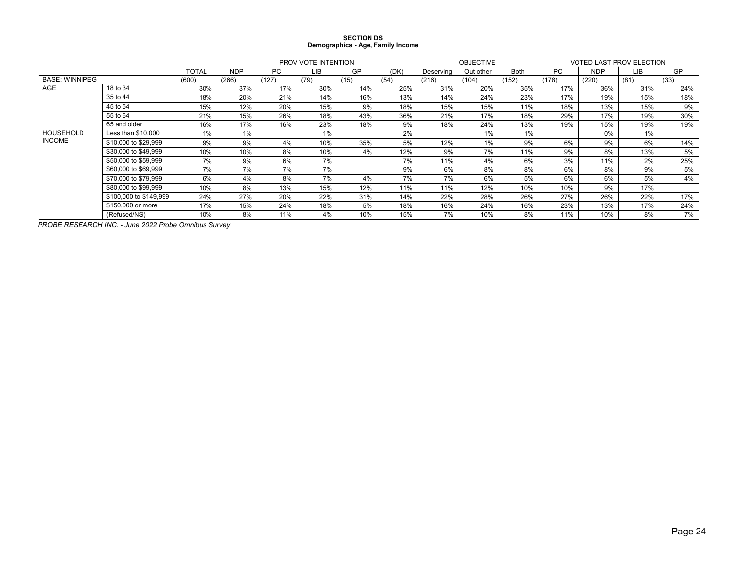#### **SECTION DS Demographics - Age, Family Income**

|                       |                        |              |            |       | PROV VOTE INTENTION |      |      |           | <b>OBJECTIVE</b> |             | <b>VOTED LAST PROV ELECTION</b> |            |      |      |
|-----------------------|------------------------|--------------|------------|-------|---------------------|------|------|-----------|------------------|-------------|---------------------------------|------------|------|------|
|                       |                        | <b>TOTAL</b> | <b>NDP</b> | PC.   | <b>LIB</b>          | GP   | (DK) | Deserving | Out other        | <b>Both</b> | <b>PC</b>                       | <b>NDP</b> | LIB  | GP   |
| <b>BASE: WINNIPEG</b> |                        | (600)        | (266)      | (127) | (79)                | (15) | (54) | (216)     | (104)            | (152)       | (178)                           | (220)      | (81) | (33) |
| AGE                   | 18 to 34               | 30%          | 37%        | 17%   | 30%                 | 14%  | 25%  | 31%       | 20%              | 35%         | 17%                             | 36%        | 31%  | 24%  |
|                       | 35 to 44               | 18%          | 20%        | 21%   | 14%                 | 16%  | 13%  | 14%       | 24%              | 23%         | 17%                             | 19%        | 15%  | 18%  |
|                       | 45 to 54               | 15%          | 12%        | 20%   | 15%                 | 9%   | 18%  | 15%       | 15%              | 11%         | 18%                             | 13%        | 15%  | 9%   |
|                       | 55 to 64               | 21%          | 15%        | 26%   | 18%                 | 43%  | 36%  | 21%       | 17%              | 18%         | 29%                             | 17%        | 19%  | 30%  |
|                       | 65 and older           | 16%          | 17%        | 16%   | 23%                 | 18%  | 9%   | 18%       | 24%              | 13%         | 19%                             | 15%        | 19%  | 19%  |
| HOUSEHOLD             | Less than \$10,000     | 1%           | 1%         |       | 1%                  |      | 2%   |           | 1%               | 1%          |                                 | 0%         | 1%   |      |
| <b>INCOME</b>         | \$10,000 to \$29,999   | 9%           | 9%         | 4%    | 10%                 | 35%  | 5%   | 12%       | $1\%$            | 9%          | 6%                              | 9%         | 6%   | 14%  |
|                       | \$30,000 to \$49.999   | 10%          | 10%        | 8%    | 10%                 | 4%   | 12%  | 9%        | 7%               | 11%         | 9%                              | 8%         | 13%  | 5%   |
|                       | \$50,000 to \$59,999   | 7%           | 9%         | 6%    | 7%                  |      | 7%   | 11%       | 4%               | 6%          | 3%                              | 11%        | 2%   | 25%  |
|                       | \$60,000 to \$69,999   | 7%           | 7%         | 7%    | 7%                  |      | 9%   | 6%        | 8%               | 8%          | 6%                              | 8%         | 9%   | 5%   |
|                       | \$70,000 to \$79.999   | 6%           | 4%         | 8%    | 7%                  | 4%   | 7%   | 7%        | 6%               | 5%          | 6%                              | 6%         | 5%   | 4%   |
|                       | \$80,000 to \$99,999   | 10%          | 8%         | 13%   | 15%                 | 12%  | 11%  | 11%       | 12%              | 10%         | 10%                             | 9%         | 17%  |      |
|                       | \$100,000 to \$149,999 | 24%          | 27%        | 20%   | 22%                 | 31%  | 14%  | 22%       | 28%              | 26%         | 27%                             | 26%        | 22%  | 17%  |
|                       | \$150,000 or more      | 17%          | 15%        | 24%   | 18%                 | 5%   | 18%  | 16%       | 24%              | 16%         | 23%                             | 13%        | 17%  | 24%  |
|                       | (Refused/NS)           | 10%          | 8%         | 11%   | 4%                  | 10%  | 15%  | 7%        | 10%              | 8%          | 11%                             | 10%        | 8%   | 7%   |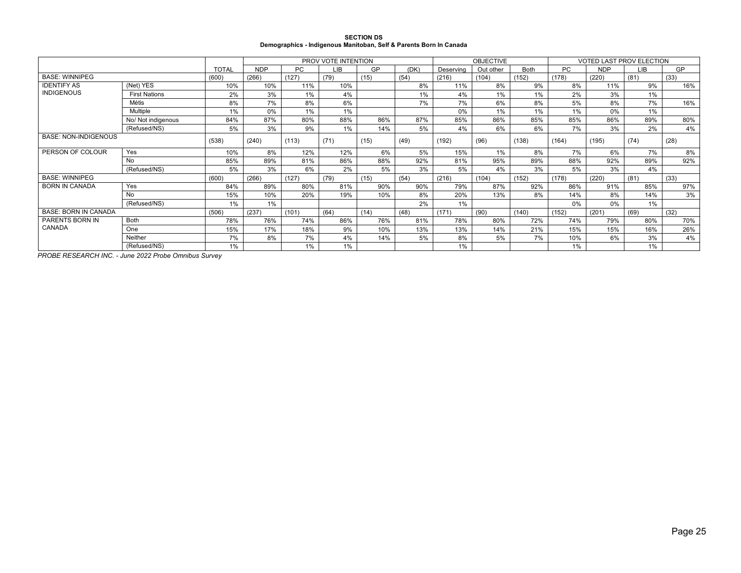| <b>SECTION DS</b>                                                  |
|--------------------------------------------------------------------|
| Demographics - Indigenous Manitoban, Self & Parents Born In Canada |

|                             |                      |              |            | PROV VOTE INTENTION |      |      |      | <b>OBJECTIVE</b> |           | <b>VOTED LAST PROV ELECTION</b> |           |            |      |           |
|-----------------------------|----------------------|--------------|------------|---------------------|------|------|------|------------------|-----------|---------------------------------|-----------|------------|------|-----------|
|                             |                      | <b>TOTAL</b> | <b>NDP</b> | <b>PC</b>           | LIB  | GP   | (DK) | Deserving        | Out other | <b>Both</b>                     | <b>PC</b> | <b>NDP</b> | LIB  | <b>GP</b> |
| <b>BASE: WINNIPEG</b>       |                      | (600)        | (266)      | (127)               | (79) | (15) | (54) | (216)            | (104)     | (152)                           | (178)     | (220)      | (81) | (33)      |
| <b>IDENTIFY AS</b>          | (Net) YES            | 10%          | 10%        | 11%                 | 10%  |      | 8%   | 11%              | 8%        | 9%                              | 8%        | 11%        | 9%   | 16%       |
| <b>INDIGENOUS</b>           | <b>First Nations</b> | 2%           | 3%         | 1%                  | 4%   |      | 1%   | 4%               | 1%        | 1%                              | 2%        | 3%         | 1%   |           |
|                             | Métis                | 8%           | 7%         | 8%                  | 6%   |      | 7%   | 7%               | 6%        | 8%                              | 5%        | 8%         | 7%   | 16%       |
|                             | Multiple             | 1%           | 0%         | 1%                  | 1%   |      |      | 0%               | 1%        | $1\%$                           | 1%        | 0%         | 1%   |           |
|                             | No/ Not indigenous   | 84%          | 87%        | 80%                 | 88%  | 86%  | 87%  | 85%              | 86%       | 85%                             | 85%       | 86%        | 89%  | 80%       |
|                             | (Refused/NS)         | 5%           | 3%         | 9%                  | 1%   | 14%  | 5%   | 4%               | 6%        | 6%                              | 7%        | 3%         | 2%   | 4%        |
| <b>BASE: NON-INDIGENOUS</b> |                      | (538)        | (240)      | (113)               | (71) | (15) | (49) | (192)            | (96)      | (138)                           | (164)     | (195)      | (74) | (28)      |
| PERSON OF COLOUR            | Yes                  | 10%          | 8%         | 12%                 | 12%  | 6%   | 5%   | 15%              | 1%        | 8%                              | 7%        | 6%         | 7%   | 8%        |
|                             | No                   | 85%          | 89%        | 81%                 | 86%  | 88%  | 92%  | 81%              | 95%       | 89%                             | 88%       | 92%        | 89%  | 92%       |
|                             | (Refused/NS)         | 5%           | 3%         | 6%                  | 2%   | 5%   | 3%   | 5%               | 4%        | 3%                              | 5%        | 3%         | 4%   |           |
| <b>BASE: WINNIPEG</b>       |                      | (600)        | (266)      | (127)               | (79) | (15) | (54) | (216)            | (104)     | (152)                           | (178)     | (220)      | (81) | (33)      |
| <b>BORN IN CANADA</b>       | Yes                  | 84%          | 89%        | 80%                 | 81%  | 90%  | 90%  | 79%              | 87%       | 92%                             | 86%       | 91%        | 85%  | 97%       |
|                             | No                   | 15%          | 10%        | 20%                 | 19%  | 10%  | 8%   | 20%              | 13%       | 8%                              | 14%       | 8%         | 14%  | 3%        |
|                             | (Refused/NS)         | 1%           | 1%         |                     |      |      | 2%   | 1%               |           |                                 | 0%        | 0%         | 1%   |           |
| <b>BASE: BORN IN CANADA</b> |                      | (506)        | (237)      | (101)               | (64) | (14) | (48) | (171)            | (90)      | (140)                           | (152)     | (201)      | (69) | (32)      |
| PARENTS BORN IN             | <b>Both</b>          | 78%          | 76%        | 74%                 | 86%  | 76%  | 81%  | 78%              | 80%       | 72%                             | 74%       | 79%        | 80%  | 70%       |
| CANADA                      | One                  | 15%          | 17%        | 18%                 | 9%   | 10%  | 13%  | 13%              | 14%       | 21%                             | 15%       | 15%        | 16%  | 26%       |
|                             | Neither              | 7%           | 8%         | 7%                  | 4%   | 14%  | 5%   | 8%               | 5%        | 7%                              | 10%       | 6%         | 3%   | 4%        |
|                             | (Refused/NS)         | 1%           |            | 1%                  | 1%   |      |      | 1%               |           |                                 | 1%        |            | 1%   |           |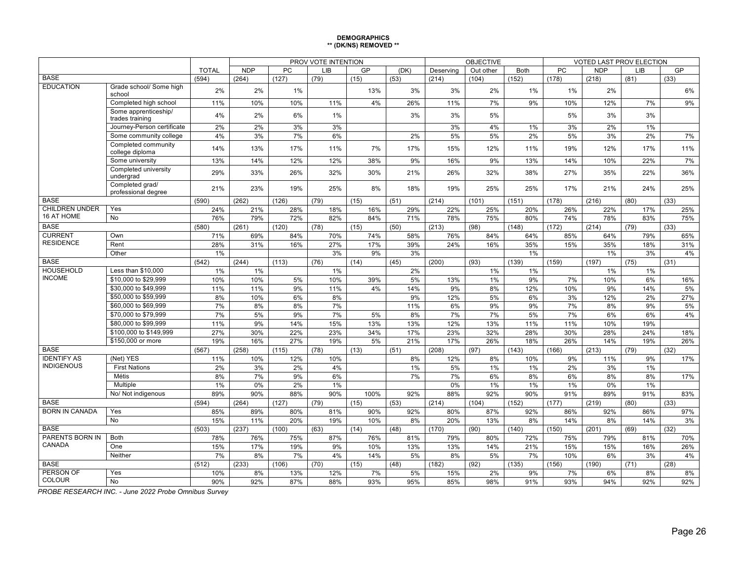#### **DEMOGRAPHICS \*\* (DK/NS) REMOVED \*\***

|                                   |                                         | PROV VOTE INTENTION |            |           |           |      |          |           | <b>OBJECTIVE</b> |             | VOTED LAST PROV ELECTION |            |          |      |
|-----------------------------------|-----------------------------------------|---------------------|------------|-----------|-----------|------|----------|-----------|------------------|-------------|--------------------------|------------|----------|------|
|                                   |                                         | <b>TOTAL</b>        | <b>NDP</b> | PC        | LIB       | GP   | (DK)     | Deserving | Out other        | <b>Both</b> | PC                       | <b>NDP</b> | LIB      | GP   |
| <b>BASE</b>                       |                                         | (594)               | (264)      | (127)     | (79)      | (15) | (53)     | (214)     | (104)            | (152)       | (178)                    | (218)      | (81)     | (33) |
| <b>EDUCATION</b>                  | Grade school/ Some high<br>school       | 2%                  | 2%         | 1%        |           | 13%  | 3%       | 3%        | 2%               | 1%          | 1%                       | 2%         |          | 6%   |
|                                   | Completed high school                   | 11%                 | 10%        | 10%       | 11%       | 4%   | 26%      | 11%       | 7%               | 9%          | 10%                      | 12%        | 7%       | 9%   |
|                                   | Some apprenticeship/<br>trades training | 4%                  | 2%         | 6%        | 1%        |      | 3%       | 3%        | 5%               |             | 5%                       | 3%         | 3%       |      |
|                                   | Journey-Person certificate              | 2%                  | 2%         | 3%        | 3%        |      |          | 3%        | 4%               | 1%          | 3%                       | 2%         | 1%       |      |
|                                   | Some community college                  | 4%                  | 3%         | 7%        | 6%        |      | 2%       | 5%        | 5%               | 2%          | 5%                       | 3%         | 2%       | 7%   |
|                                   | Completed community<br>college diploma  | 14%                 | 13%        | 17%       | 11%       | 7%   | 17%      | 15%       | 12%              | 11%         | 19%                      | 12%        | 17%      | 11%  |
|                                   | Some university                         | 13%                 | 14%        | 12%       | 12%       | 38%  | 9%       | 16%       | 9%               | 13%         | 14%                      | 10%        | 22%      | 7%   |
|                                   | Completed university<br>undergrad       | 29%                 | 33%        | 26%       | 32%       | 30%  | 21%      | 26%       | 32%              | 38%         | 27%                      | 35%        | 22%      | 36%  |
|                                   | Completed grad/<br>professional degree  | 21%                 | 23%        | 19%       | 25%       | 8%   | 18%      | 19%       | 25%              | 25%         | 17%                      | 21%        | 24%      | 25%  |
| <b>BASE</b>                       |                                         | (590)               | (262)      | (126)     | (79)      | (15) | (51)     | (214)     | (101)            | (151)       | (178)                    | (216)      | (80)     | (33) |
| <b>CHILDREN UNDER</b>             | Yes                                     | 24%                 | 21%        | 28%       | 18%       | 16%  | 29%      | 22%       | 25%              | 20%         | 26%                      | 22%        | 17%      | 25%  |
| 16 AT HOME                        | <b>No</b>                               | 76%                 | 79%        | 72%       | 82%       | 84%  | 71%      | 78%       | 75%              | 80%         | 74%                      | 78%        | 83%      | 75%  |
| <b>BASE</b>                       |                                         | (580)               | (261)      | (120)     | (78)      | (15) | (50)     | (213)     | (98)             | (148)       | (172)                    | (214)      | (79)     | (33) |
| <b>CURRENT</b>                    | Own                                     | 71%                 | 69%        | 84%       | 70%       | 74%  | 58%      | 76%       | 84%              | 64%         | 85%                      | 64%        | 79%      | 65%  |
| <b>RESIDENCE</b>                  | Rent                                    | 28%                 | 31%        | 16%       | 27%       | 17%  | 39%      | 24%       | 16%              | 35%         | 15%                      | 35%        | 18%      | 31%  |
|                                   | Other                                   | 1%                  |            |           | 3%        | 9%   | 3%       |           |                  | 1%          |                          | $1\%$      | 3%       | 4%   |
| <b>BASE</b>                       |                                         | (542)               | (244)      | (113)     | (76)      | (14) | (45)     | (200)     | (93)             | (139)       | (159)                    | (197)      | (75)     | (31) |
| <b>HOUSEHOLD</b>                  | Less than \$10,000                      | 1%                  | $1\%$      |           | 1%        |      | 2%       |           | $1\%$            | 1%          |                          | 1%         | $1\%$    |      |
| <b>INCOME</b>                     | \$10,000 to \$29,999                    | 10%                 | 10%        | 5%        | 10%       | 39%  | 5%       | 13%       | $1\%$            | 9%          | 7%                       | 10%        | 6%       | 16%  |
|                                   | \$30,000 to \$49,999                    | 11%                 | 11%        | 9%        | 11%       | 4%   | 14%      | 9%        | 8%               | 12%         | 10%                      | 9%         | 14%      | 5%   |
|                                   | \$50,000 to \$59,999                    | 8%                  | 10%        | 6%        | 8%        |      | 9%       | 12%       | 5%               | 6%          | 3%                       | 12%        | 2%       | 27%  |
|                                   | \$60,000 to \$69,999                    | 7%                  | 8%         | 8%        | 7%        |      | 11%      | 6%        | 9%               | 9%          | 7%                       | 8%         | 9%       | 5%   |
|                                   | \$70,000 to \$79,999                    | 7%                  | 5%         | 9%        | 7%        | 5%   | 8%       | 7%        | 7%               | 5%          | 7%                       | 6%         | 6%       | 4%   |
|                                   | \$80,000 to \$99,999                    | 11%                 | 9%         | 14%       | 15%       | 13%  | 13%      | 12%       | 13%              | 11%         | 11%                      | 10%        | 19%      |      |
|                                   | \$100,000 to \$149,999                  | 27%                 | 30%        | 22%       | 23%       | 34%  | 17%      | 23%       | 32%              | 28%         | 30%                      | 28%        | 24%      | 18%  |
|                                   | \$150,000 or more                       | 19%                 | 16%        | 27%       | 19%       | 5%   | 21%      | 17%       | 26%              | 18%         | 26%                      | 14%        | 19%      | 26%  |
| <b>BASE</b><br><b>IDENTIFY AS</b> | (Net) YES                               | (567)               | (258)      | (115)     | (78)      | (13) | (51)     | (208)     | (97)             | (143)       | (166)                    | (213)      | (79)     | (32) |
| <b>INDIGENOUS</b>                 | <b>First Nations</b>                    | 11%                 | 10%        | 12%<br>2% | 10%<br>4% |      | 8%<br>1% | 12%<br>5% | 8%<br>$1\%$      | 10%<br>1%   | 9%<br>2%                 | 11%<br>3%  | 9%<br>1% | 17%  |
|                                   | <b>Métis</b>                            | 2%<br>8%            | 3%<br>7%   | 9%        | 6%        |      | 7%       | 7%        | 6%               | 8%          | 6%                       | 8%         | 8%       | 17%  |
|                                   | Multiple                                | 1%                  | 0%         | 2%        | 1%        |      |          | 0%        | $1\%$            | 1%          | 1%                       | 0%         | 1%       |      |
|                                   | No/ Not indigenous                      | 89%                 | 90%        | 88%       | 90%       | 100% | 92%      | 88%       | 92%              | 90%         | 91%                      | 89%        | 91%      | 83%  |
| <b>BASE</b>                       |                                         | (594)               | (264)      | (127)     | (79)      | (15) | (53)     | (214)     | (104)            | (152)       | (177)                    | (219)      | (80)     | (33) |
| <b>BORN IN CANADA</b>             | Yes                                     | 85%                 | 89%        | 80%       | 81%       | 90%  | 92%      | 80%       | 87%              | 92%         | 86%                      | 92%        | 86%      | 97%  |
|                                   | $\overline{No}$                         | 15%                 | 11%        | 20%       | 19%       | 10%  | 8%       | 20%       | 13%              | 8%          | 14%                      | 8%         | 14%      | 3%   |
| <b>BASE</b>                       |                                         | (503)               | (237)      | (100)     | (63)      | (14) | (48)     | (170)     | (90)             | (140)       | (150)                    | (201)      | (69)     | (32) |
| PARENTS BORN IN                   | <b>Both</b>                             | 78%                 | 76%        | 75%       | 87%       | 76%  | 81%      | 79%       | 80%              | 72%         | 75%                      | 79%        | 81%      | 70%  |
| CANADA                            | One                                     | 15%                 | 17%        | 19%       | 9%        | 10%  | 13%      | 13%       | 14%              | 21%         | 15%                      | 15%        | 16%      | 26%  |
|                                   | Neither                                 | 7%                  | 8%         | 7%        | 4%        | 14%  | 5%       | 8%        | 5%               | 7%          | 10%                      | 6%         | 3%       | 4%   |
| <b>BASE</b>                       |                                         | (512)               | (233)      | (106)     | (70)      | (15) | (48)     | (182)     | (92)             | (135)       | (156)                    | (190)      | (71)     | (28) |
| PERSON OF                         | Yes                                     | 10%                 | 8%         | 13%       | 12%       | 7%   | 5%       | 15%       | 2%               | 9%          | 7%                       | 6%         | 8%       | 8%   |
| <b>COLOUR</b>                     | <b>No</b>                               | 90%                 | 92%        | 87%       | 88%       | 93%  | 95%      | 85%       | 98%              | 91%         | 93%                      | 94%        | 92%      | 92%  |